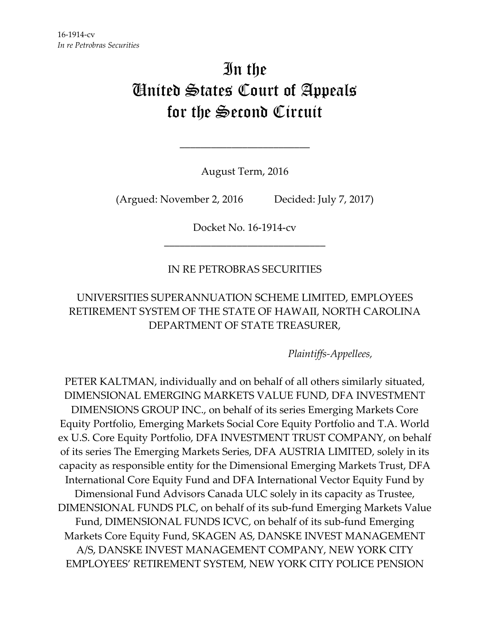# In the United States Court of Appeals for the Second Circuit

August Term, 2016

\_\_\_\_\_\_\_\_\_\_\_\_\_\_\_\_\_\_\_\_\_\_\_\_\_

(Argued: November 2, 2016 Decided: July 7, 2017)

Docket No. 16‐1914‐cv \_\_\_\_\_\_\_\_\_\_\_\_\_\_\_\_\_\_\_\_\_\_\_\_\_\_\_\_\_\_\_

# IN RE PETROBRAS SECURITIES

# UNIVERSITIES SUPERANNUATION SCHEME LIMITED, EMPLOYEES RETIREMENT SYSTEM OF THE STATE OF HAWAII, NORTH CAROLINA DEPARTMENT OF STATE TREASURER,

*Plaintiffs‐Appellees,*

PETER KALTMAN, individually and on behalf of all others similarly situated, DIMENSIONAL EMERGING MARKETS VALUE FUND, DFA INVESTMENT DIMENSIONS GROUP INC., on behalf of its series Emerging Markets Core Equity Portfolio, Emerging Markets Social Core Equity Portfolio and T.A. World ex U.S. Core Equity Portfolio, DFA INVESTMENT TRUST COMPANY, on behalf of its series The Emerging Markets Series, DFA AUSTRIA LIMITED, solely in its capacity as responsible entity for the Dimensional Emerging Markets Trust, DFA International Core Equity Fund and DFA International Vector Equity Fund by Dimensional Fund Advisors Canada ULC solely in its capacity as Trustee, DIMENSIONAL FUNDS PLC, on behalf of its sub‐fund Emerging Markets Value Fund, DIMENSIONAL FUNDS ICVC, on behalf of its sub-fund Emerging Markets Core Equity Fund, SKAGEN AS, DANSKE INVEST MANAGEMENT A/S, DANSKE INVEST MANAGEMENT COMPANY, NEW YORK CITY EMPLOYEES' RETIREMENT SYSTEM, NEW YORK CITY POLICE PENSION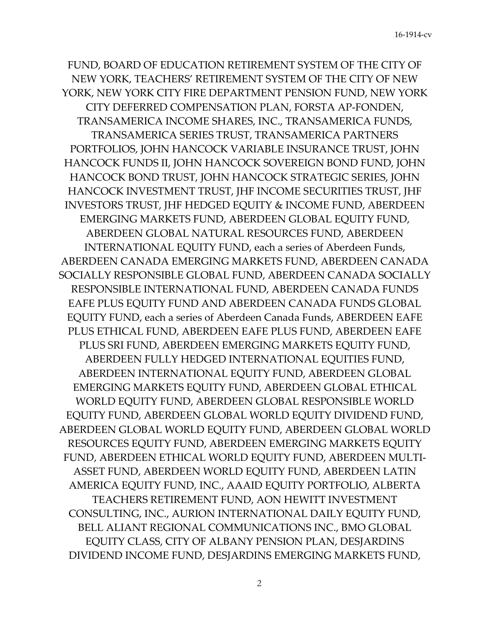FUND, BOARD OF EDUCATION RETIREMENT SYSTEM OF THE CITY OF NEW YORK, TEACHERS' RETIREMENT SYSTEM OF THE CITY OF NEW YORK, NEW YORK CITY FIRE DEPARTMENT PENSION FUND, NEW YORK CITY DEFERRED COMPENSATION PLAN, FORSTA AP‐FONDEN, TRANSAMERICA INCOME SHARES, INC., TRANSAMERICA FUNDS, TRANSAMERICA SERIES TRUST, TRANSAMERICA PARTNERS PORTFOLIOS, JOHN HANCOCK VARIABLE INSURANCE TRUST, JOHN HANCOCK FUNDS II, JOHN HANCOCK SOVEREIGN BOND FUND, JOHN HANCOCK BOND TRUST, JOHN HANCOCK STRATEGIC SERIES, JOHN HANCOCK INVESTMENT TRUST, JHF INCOME SECURITIES TRUST, JHF INVESTORS TRUST, JHF HEDGED EQUITY & INCOME FUND, ABERDEEN EMERGING MARKETS FUND, ABERDEEN GLOBAL EQUITY FUND, ABERDEEN GLOBAL NATURAL RESOURCES FUND, ABERDEEN INTERNATIONAL EQUITY FUND, each a series of Aberdeen Funds, ABERDEEN CANADA EMERGING MARKETS FUND, ABERDEEN CANADA SOCIALLY RESPONSIBLE GLOBAL FUND, ABERDEEN CANADA SOCIALLY RESPONSIBLE INTERNATIONAL FUND, ABERDEEN CANADA FUNDS EAFE PLUS EQUITY FUND AND ABERDEEN CANADA FUNDS GLOBAL EQUITY FUND, each a series of Aberdeen Canada Funds, ABERDEEN EAFE PLUS ETHICAL FUND, ABERDEEN EAFE PLUS FUND, ABERDEEN EAFE PLUS SRI FUND, ABERDEEN EMERGING MARKETS EQUITY FUND, ABERDEEN FULLY HEDGED INTERNATIONAL EQUITIES FUND, ABERDEEN INTERNATIONAL EQUITY FUND, ABERDEEN GLOBAL EMERGING MARKETS EQUITY FUND, ABERDEEN GLOBAL ETHICAL WORLD EQUITY FUND, ABERDEEN GLOBAL RESPONSIBLE WORLD EQUITY FUND, ABERDEEN GLOBAL WORLD EQUITY DIVIDEND FUND, ABERDEEN GLOBAL WORLD EQUITY FUND, ABERDEEN GLOBAL WORLD RESOURCES EQUITY FUND, ABERDEEN EMERGING MARKETS EQUITY FUND, ABERDEEN ETHICAL WORLD EQUITY FUND, ABERDEEN MULTI‐ ASSET FUND, ABERDEEN WORLD EQUITY FUND, ABERDEEN LATIN AMERICA EQUITY FUND, INC., AAAID EQUITY PORTFOLIO, ALBERTA TEACHERS RETIREMENT FUND, AON HEWITT INVESTMENT CONSULTING, INC., AURION INTERNATIONAL DAILY EQUITY FUND, BELL ALIANT REGIONAL COMMUNICATIONS INC., BMO GLOBAL EQUITY CLASS, CITY OF ALBANY PENSION PLAN, DESJARDINS DIVIDEND INCOME FUND, DESJARDINS EMERGING MARKETS FUND,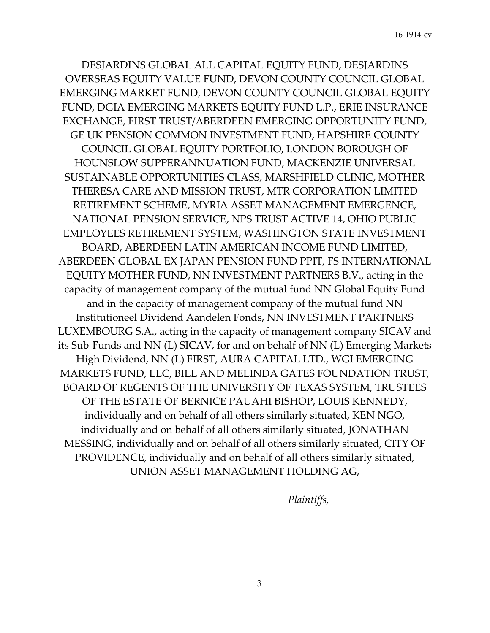DESJARDINS GLOBAL ALL CAPITAL EQUITY FUND, DESJARDINS OVERSEAS EQUITY VALUE FUND, DEVON COUNTY COUNCIL GLOBAL EMERGING MARKET FUND, DEVON COUNTY COUNCIL GLOBAL EQUITY FUND, DGIA EMERGING MARKETS EQUITY FUND L.P., ERIE INSURANCE EXCHANGE, FIRST TRUST/ABERDEEN EMERGING OPPORTUNITY FUND, GE UK PENSION COMMON INVESTMENT FUND, HAPSHIRE COUNTY COUNCIL GLOBAL EQUITY PORTFOLIO, LONDON BOROUGH OF HOUNSLOW SUPPERANNUATION FUND, MACKENZIE UNIVERSAL SUSTAINABLE OPPORTUNITIES CLASS, MARSHFIELD CLINIC, MOTHER THERESA CARE AND MISSION TRUST, MTR CORPORATION LIMITED RETIREMENT SCHEME, MYRIA ASSET MANAGEMENT EMERGENCE, NATIONAL PENSION SERVICE, NPS TRUST ACTIVE 14, OHIO PUBLIC EMPLOYEES RETIREMENT SYSTEM, WASHINGTON STATE INVESTMENT BOARD, ABERDEEN LATIN AMERICAN INCOME FUND LIMITED, ABERDEEN GLOBAL EX JAPAN PENSION FUND PPIT, FS INTERNATIONAL EQUITY MOTHER FUND, NN INVESTMENT PARTNERS B.V., acting in the capacity of management company of the mutual fund NN Global Equity Fund and in the capacity of management company of the mutual fund NN Institutioneel Dividend Aandelen Fonds, NN INVESTMENT PARTNERS LUXEMBOURG S.A., acting in the capacity of management company SICAV and its Sub‐Funds and NN (L) SICAV, for and on behalf of NN (L) Emerging Markets High Dividend, NN (L) FIRST, AURA CAPITAL LTD., WGI EMERGING MARKETS FUND, LLC, BILL AND MELINDA GATES FOUNDATION TRUST, BOARD OF REGENTS OF THE UNIVERSITY OF TEXAS SYSTEM, TRUSTEES OF THE ESTATE OF BERNICE PAUAHI BISHOP, LOUIS KENNEDY, individually and on behalf of all others similarly situated, KEN NGO, individually and on behalf of all others similarly situated, JONATHAN MESSING, individually and on behalf of all others similarly situated, CITY OF PROVIDENCE, individually and on behalf of all others similarly situated, UNION ASSET MANAGEMENT HOLDING AG,

*Plaintiffs,*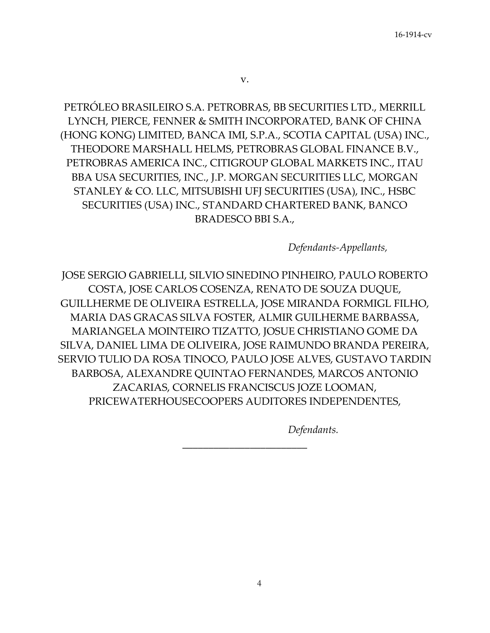PETRÓLEO BRASILEIRO S.A. PETROBRAS, BB SECURITIES LTD., MERRILL LYNCH, PIERCE, FENNER & SMITH INCORPORATED, BANK OF CHINA (HONG KONG) LIMITED, BANCA IMI, S.P.A., SCOTIA CAPITAL (USA) INC., THEODORE MARSHALL HELMS, PETROBRAS GLOBAL FINANCE B.V., PETROBRAS AMERICA INC., CITIGROUP GLOBAL MARKETS INC., ITAU BBA USA SECURITIES, INC., J.P. MORGAN SECURITIES LLC, MORGAN STANLEY & CO. LLC, MITSUBISHI UFJ SECURITIES (USA), INC., HSBC SECURITIES (USA) INC., STANDARD CHARTERED BANK, BANCO BRADESCO BBI S.A.,

*Defendants‐Appellants,*

JOSE SERGIO GABRIELLI, SILVIO SINEDINO PINHEIRO, PAULO ROBERTO COSTA, JOSE CARLOS COSENZA, RENATO DE SOUZA DUQUE, GUILLHERME DE OLIVEIRA ESTRELLA, JOSE MIRANDA FORMIGL FILHO, MARIA DAS GRACAS SILVA FOSTER, ALMIR GUILHERME BARBASSA, MARIANGELA MOINTEIRO TIZATTO, JOSUE CHRISTIANO GOME DA SILVA, DANIEL LIMA DE OLIVEIRA, JOSE RAIMUNDO BRANDA PEREIRA, SERVIO TULIO DA ROSA TINOCO, PAULO JOSE ALVES, GUSTAVO TARDIN BARBOSA, ALEXANDRE QUINTAO FERNANDES, MARCOS ANTONIO ZACARIAS, CORNELIS FRANCISCUS JOZE LOOMAN, PRICEWATERHOUSECOOPERS AUDITORES INDEPENDENTES,

\_\_\_\_\_\_\_\_\_\_\_\_\_\_\_\_\_\_\_\_\_\_\_\_

*Defendants.*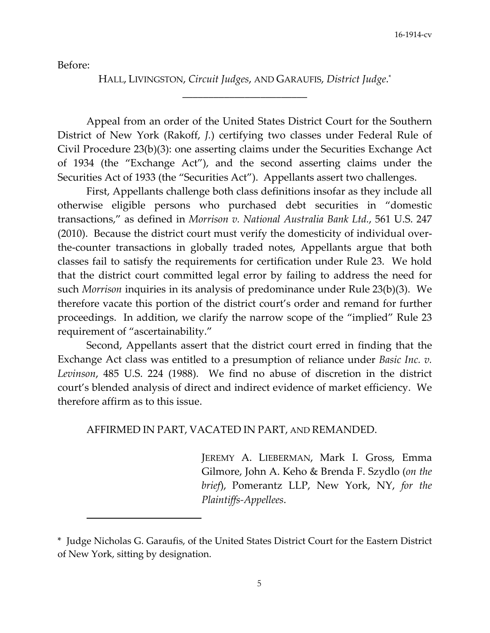Before:

HALL, LIVINGSTON, *Circuit Judges*, AND GARAUFIS, *District Judge*. \* \_\_\_\_\_\_\_\_\_\_\_\_\_\_\_\_\_\_\_\_\_\_\_\_

Appeal from an order of the United States District Court for the Southern District of New York (Rakoff, *J.*) certifying two classes under Federal Rule of Civil Procedure 23(b)(3): one asserting claims under the Securities Exchange Act of 1934 (the "Exchange Act"), and the second asserting claims under the Securities Act of 1933 (the "Securities Act"). Appellants assert two challenges.

First, Appellants challenge both class definitions insofar as they include all otherwise eligible persons who purchased debt securities in "domestic transactions," as defined in *Morrison v. National Australia Bank Ltd.*, 561 U.S. 247 (2010). Because the district court must verify the domesticity of individual over‐ the‐counter transactions in globally traded notes, Appellants argue that both classes fail to satisfy the requirements for certification under Rule 23. We hold that the district court committed legal error by failing to address the need for such *Morrison* inquiries in its analysis of predominance under Rule 23(b)(3). We therefore vacate this portion of the district court's order and remand for further proceedings. In addition, we clarify the narrow scope of the "implied" Rule 23 requirement of "ascertainability."

Second, Appellants assert that the district court erred in finding that the Exchange Act class was entitled to a presumption of reliance under *Basic Inc. v. Levinson*, 485 U.S. 224 (1988). We find no abuse of discretion in the district court's blended analysis of direct and indirect evidence of market efficiency. We therefore affirm as to this issue.

# AFFIRMED IN PART, VACATED IN PART, AND REMANDED.

JEREMY A. LIEBERMAN, Mark I. Gross, Emma Gilmore, John A. Keho & Brenda F. Szydlo (*on the brief*), Pomerantz LLP, New York, NY, *for the Plaintiffs‐Appellees*.

<sup>\*</sup> Judge Nicholas G. Garaufis, of the United States District Court for the Eastern District of New York, sitting by designation.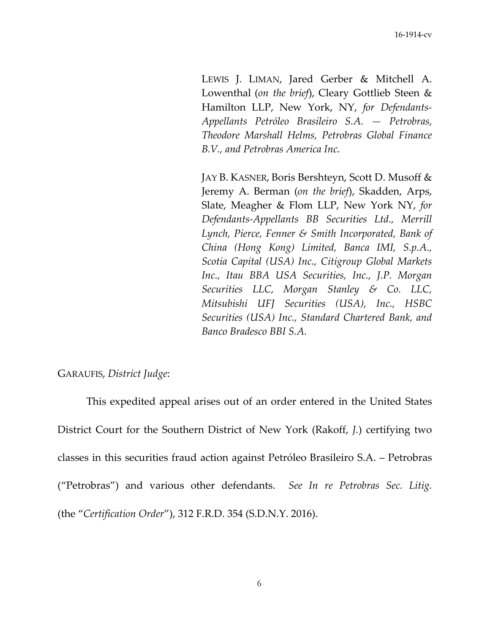LEWIS J. LIMAN, Jared Gerber & Mitchell A. Lowenthal (*on the brief*), Cleary Gottlieb Steen & Hamilton LLP, New York, NY, *for Defendants‐ Appellants Petróleo Brasileiro S.A. — Petrobras, Theodore Marshall Helms, Petrobras Global Finance B.V., and Petrobras America Inc.*

JAY B. KASNER, Boris Bershteyn, Scott D. Musoff & Jeremy A. Berman (*on the brief*), Skadden, Arps, Slate, Meagher & Flom LLP, New York NY, *for Defendants‐Appellants BB Securities Ltd., Merrill Lynch, Pierce, Fenner & Smith Incorporated, Bank of China (Hong Kong) Limited, Banca IMI, S.p.A., Scotia Capital (USA) Inc., Citigroup Global Markets Inc., Itau BBA USA Securities, Inc., J.P. Morgan Securities LLC, Morgan Stanley & Co. LLC, Mitsubishi UFJ Securities (USA), Inc., HSBC Securities (USA) Inc., Standard Chartered Bank, and Banco Bradesco BBI S.A.*

## GARAUFIS, *District Judge*:

This expedited appeal arises out of an order entered in the United States District Court for the Southern District of New York (Rakoff, *J.*) certifying two classes in this securities fraud action against Petróleo Brasileiro S.A. – Petrobras ("Petrobras") and various other defendants. *See In re Petrobras Sec. Litig.* (the "*Certification Order*"), 312 F.R.D. 354 (S.D.N.Y. 2016).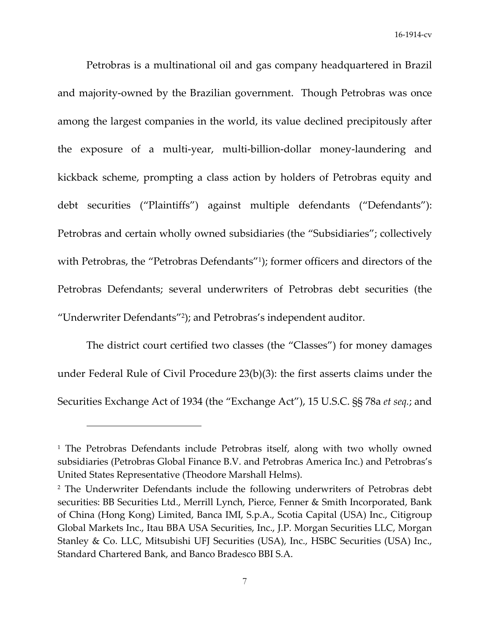Petrobras is a multinational oil and gas company headquartered in Brazil and majority-owned by the Brazilian government. Though Petrobras was once among the largest companies in the world, its value declined precipitously after the exposure of a multi‐year, multi‐billion‐dollar money‐laundering and kickback scheme, prompting a class action by holders of Petrobras equity and debt securities ("Plaintiffs") against multiple defendants ("Defendants"): Petrobras and certain wholly owned subsidiaries (the "Subsidiaries"; collectively with Petrobras, the "Petrobras Defendants"<sup>1</sup>); former officers and directors of the Petrobras Defendants; several underwriters of Petrobras debt securities (the "Underwriter Defendants"2); and Petrobras's independent auditor.

The district court certified two classes (the "Classes") for money damages under Federal Rule of Civil Procedure 23(b)(3): the first asserts claims under the Securities Exchange Act of 1934 (the "Exchange Act"), 15 U.S.C. §§ 78a *et seq.*; and

<sup>&</sup>lt;sup>1</sup> The Petrobras Defendants include Petrobras itself, along with two wholly owned subsidiaries (Petrobras Global Finance B.V. and Petrobras America Inc.) and Petrobras's United States Representative (Theodore Marshall Helms).

<sup>2</sup> The Underwriter Defendants include the following underwriters of Petrobras debt securities: BB Securities Ltd., Merrill Lynch, Pierce, Fenner & Smith Incorporated, Bank of China (Hong Kong) Limited, Banca IMI, S.p.A., Scotia Capital (USA) Inc., Citigroup Global Markets Inc., Itau BBA USA Securities, Inc., J.P. Morgan Securities LLC, Morgan Stanley & Co. LLC, Mitsubishi UFJ Securities (USA), Inc., HSBC Securities (USA) Inc., Standard Chartered Bank, and Banco Bradesco BBI S.A.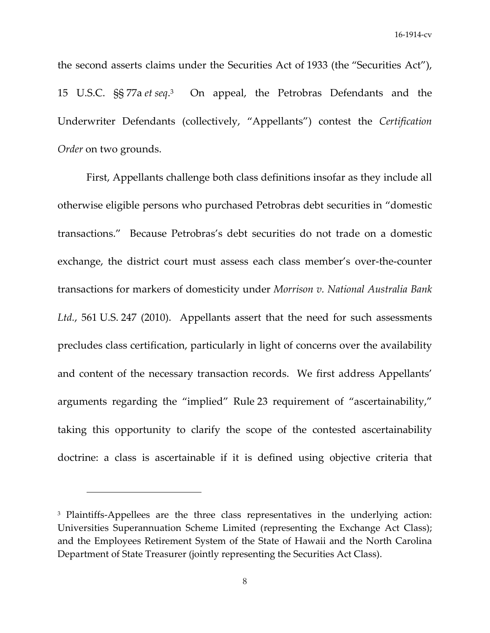the second asserts claims under the Securities Act of 1933 (the "Securities Act"), 15 U.S.C. §§ 77a *et seq*. On appeal, the Petrobras Defendants and the Underwriter Defendants (collectively, "Appellants") contest the *Certification Order* on two grounds.

First, Appellants challenge both class definitions insofar as they include all otherwise eligible persons who purchased Petrobras debt securities in "domestic transactions." Because Petrobras's debt securities do not trade on a domestic exchange, the district court must assess each class member's over‐the‐counter transactions for markers of domesticity under *Morrison v. National Australia Bank* Ltd., 561 U.S. 247 (2010). Appellants assert that the need for such assessments precludes class certification, particularly in light of concerns over the availability and content of the necessary transaction records. We first address Appellants' arguments regarding the "implied" Rule 23 requirement of "ascertainability," taking this opportunity to clarify the scope of the contested ascertainability doctrine: a class is ascertainable if it is defined using objective criteria that

<sup>&</sup>lt;sup>3</sup> Plaintiffs-Appellees are the three class representatives in the underlying action: Universities Superannuation Scheme Limited (representing the Exchange Act Class); and the Employees Retirement System of the State of Hawaii and the North Carolina Department of State Treasurer (jointly representing the Securities Act Class).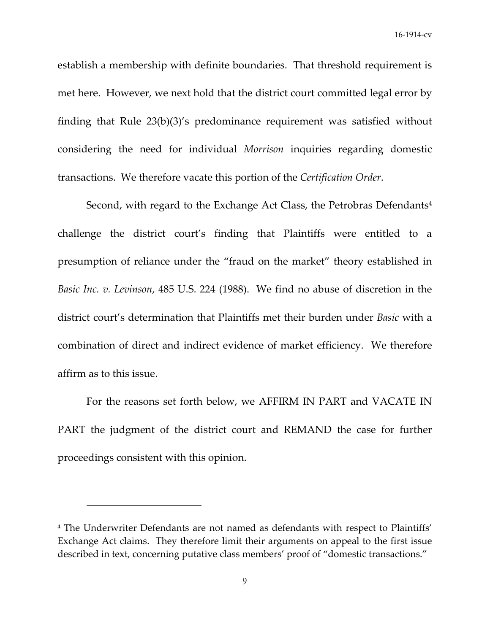establish a membership with definite boundaries. That threshold requirement is met here. However, we next hold that the district court committed legal error by finding that Rule 23(b)(3)'s predominance requirement was satisfied without considering the need for individual *Morrison* inquiries regarding domestic transactions. We therefore vacate this portion of the *Certification Order*.

Second, with regard to the Exchange Act Class, the Petrobras Defendants<sup>4</sup> challenge the district court's finding that Plaintiffs were entitled to a presumption of reliance under the "fraud on the market" theory established in *Basic Inc. v. Levinson*, 485 U.S. 224 (1988). We find no abuse of discretion in the district court's determination that Plaintiffs met their burden under *Basic* with a combination of direct and indirect evidence of market efficiency. We therefore affirm as to this issue.

For the reasons set forth below, we AFFIRM IN PART and VACATE IN PART the judgment of the district court and REMAND the case for further proceedings consistent with this opinion.

<sup>4</sup> The Underwriter Defendants are not named as defendants with respect to Plaintiffs' Exchange Act claims. They therefore limit their arguments on appeal to the first issue described in text, concerning putative class members' proof of "domestic transactions."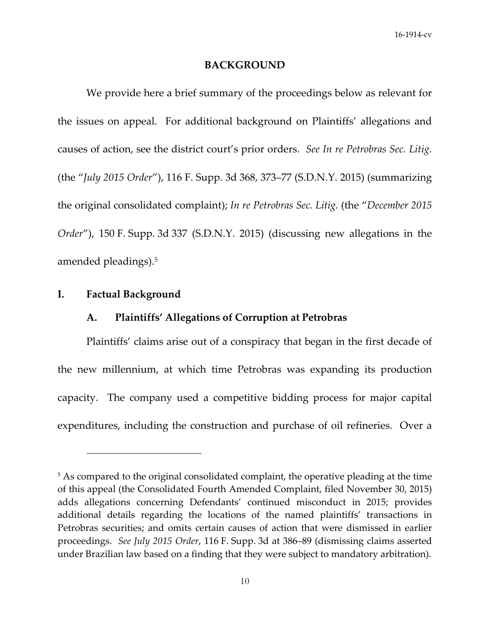### **BACKGROUND**

We provide here a brief summary of the proceedings below as relevant for the issues on appeal. For additional background on Plaintiffs' allegations and causes of action, see the district court's prior orders. *See In re Petrobras Sec. Litig.* (the "*July 2015 Order*"), 116 F. Supp. 3d 368, 373–77 (S.D.N.Y. 2015) (summarizing the original consolidated complaint); *In re Petrobras Sec. Litig.* (the "*December 2015 Order*"), 150 F. Supp. 3d 337 (S.D.N.Y. 2015) (discussing new allegations in the amended pleadings).5

# **I. Factual Background**

# **A. Plaintiffs' Allegations of Corruption at Petrobras**

Plaintiffs' claims arise out of a conspiracy that began in the first decade of the new millennium, at which time Petrobras was expanding its production capacity. The company used a competitive bidding process for major capital expenditures, including the construction and purchase of oil refineries. Over a

<sup>&</sup>lt;sup>5</sup> As compared to the original consolidated complaint, the operative pleading at the time of this appeal (the Consolidated Fourth Amended Complaint, filed November 30, 2015) adds allegations concerning Defendants' continued misconduct in 2015; provides additional details regarding the locations of the named plaintiffs' transactions in Petrobras securities; and omits certain causes of action that were dismissed in earlier proceedings. *See July 2015 Order*, 116 F. Supp. 3d at 386–89 (dismissing claims asserted under Brazilian law based on a finding that they were subject to mandatory arbitration).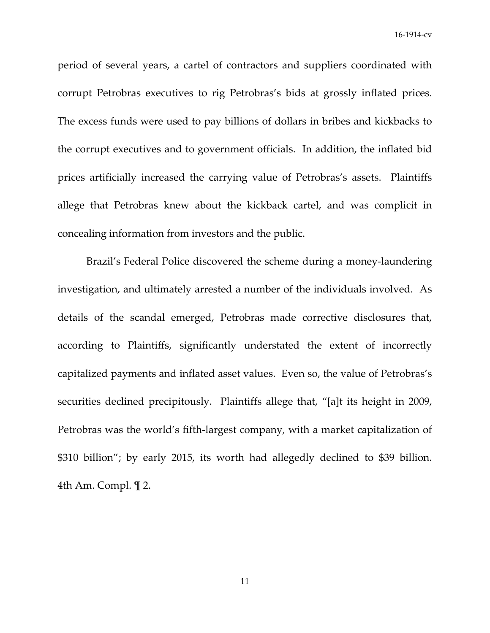period of several years, a cartel of contractors and suppliers coordinated with corrupt Petrobras executives to rig Petrobras's bids at grossly inflated prices. The excess funds were used to pay billions of dollars in bribes and kickbacks to the corrupt executives and to government officials. In addition, the inflated bid prices artificially increased the carrying value of Petrobras's assets. Plaintiffs allege that Petrobras knew about the kickback cartel, and was complicit in concealing information from investors and the public.

Brazil's Federal Police discovered the scheme during a money‐laundering investigation, and ultimately arrested a number of the individuals involved. As details of the scandal emerged, Petrobras made corrective disclosures that, according to Plaintiffs, significantly understated the extent of incorrectly capitalized payments and inflated asset values. Even so, the value of Petrobras's securities declined precipitously. Plaintiffs allege that, "[a]t its height in 2009, Petrobras was the world's fifth‐largest company, with a market capitalization of \$310 billion"; by early 2015, its worth had allegedly declined to \$39 billion. 4th Am. Compl. ¶ 2.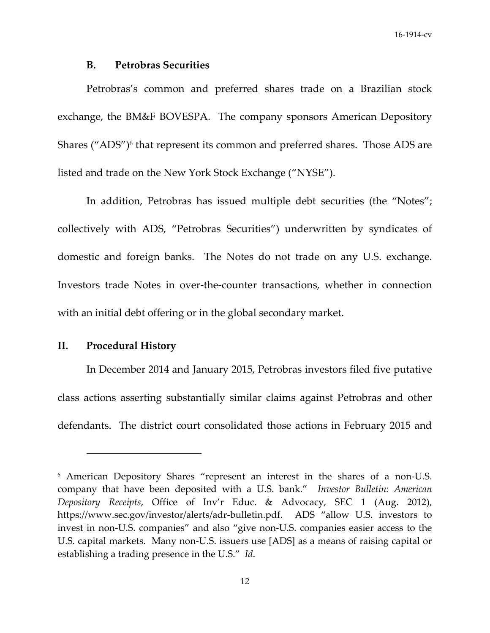### **B. Petrobras Securities**

Petrobras's common and preferred shares trade on a Brazilian stock exchange, the BM&F BOVESPA. The company sponsors American Depository Shares ("ADS")<sup>6</sup> that represent its common and preferred shares. Those ADS are listed and trade on the New York Stock Exchange ("NYSE").

In addition, Petrobras has issued multiple debt securities (the "Notes"; collectively with ADS, "Petrobras Securities") underwritten by syndicates of domestic and foreign banks. The Notes do not trade on any U.S. exchange. Investors trade Notes in over‐the‐counter transactions, whether in connection with an initial debt offering or in the global secondary market.

# **II. Procedural History**

In December 2014 and January 2015, Petrobras investors filed five putative class actions asserting substantially similar claims against Petrobras and other defendants. The district court consolidated those actions in February 2015 and

<sup>6</sup> American Depository Shares "represent an interest in the shares of a non‐U.S. company that have been deposited with a U.S. bank." *Investor Bulletin: American Depository Receipts*, Office of Inv'r Educ. & Advocacy, SEC 1 (Aug. 2012), https://www.sec.gov/investor/alerts/adr-bulletin.pdf. ADS "allow U.S. investors to invest in non‐U.S. companies" and also "give non‐U.S. companies easier access to the U.S. capital markets. Many non‐U.S. issuers use [ADS] as a means of raising capital or establishing a trading presence in the U.S." *Id*.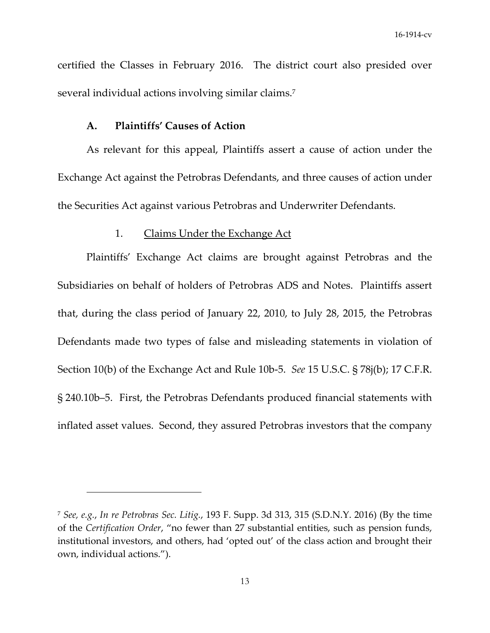certified the Classes in February 2016. The district court also presided over several individual actions involving similar claims.<sup>7</sup>

## **A. Plaintiffs' Causes of Action**

As relevant for this appeal, Plaintiffs assert a cause of action under the Exchange Act against the Petrobras Defendants, and three causes of action under the Securities Act against various Petrobras and Underwriter Defendants.

### 1. Claims Under the Exchange Act

Plaintiffs' Exchange Act claims are brought against Petrobras and the Subsidiaries on behalf of holders of Petrobras ADS and Notes. Plaintiffs assert that, during the class period of January 22, 2010, to July 28, 2015, the Petrobras Defendants made two types of false and misleading statements in violation of Section 10(b) of the Exchange Act and Rule 10b‐5. *See* 15 U.S.C. § 78j(b); 17 C.F.R. § 240.10b–5. First, the Petrobras Defendants produced financial statements with inflated asset values. Second, they assured Petrobras investors that the company

<sup>7</sup> *See, e.g.*, *In re Petrobras Sec. Litig.*, 193 F. Supp. 3d 313, 315 (S.D.N.Y. 2016) (By the time of the *Certification Order*, "no fewer than 27 substantial entities, such as pension funds, institutional investors, and others, had 'opted out' of the class action and brought their own, individual actions.").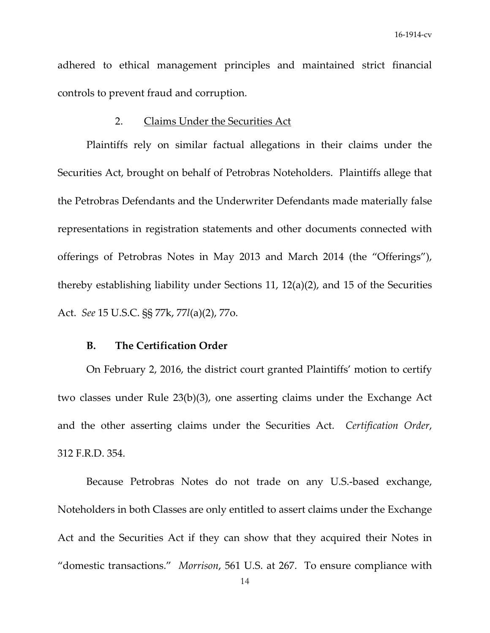adhered to ethical management principles and maintained strict financial controls to prevent fraud and corruption.

### 2. Claims Under the Securities Act

Plaintiffs rely on similar factual allegations in their claims under the Securities Act, brought on behalf of Petrobras Noteholders. Plaintiffs allege that the Petrobras Defendants and the Underwriter Defendants made materially false representations in registration statements and other documents connected with offerings of Petrobras Notes in May 2013 and March 2014 (the "Offerings"), thereby establishing liability under Sections 11, 12(a)(2), and 15 of the Securities Act. *See* 15 U.S.C. §§ 77k, 77*l*(a)(2), 77o.

### **B. The Certification Order**

On February 2, 2016, the district court granted Plaintiffs' motion to certify two classes under Rule 23(b)(3), one asserting claims under the Exchange Act and the other asserting claims under the Securities Act. *Certification Order*, 312 F.R.D. 354.

Because Petrobras Notes do not trade on any U.S.‐based exchange, Noteholders in both Classes are only entitled to assert claims under the Exchange Act and the Securities Act if they can show that they acquired their Notes in "domestic transactions." *Morrison*, 561 U.S. at 267. To ensure compliance with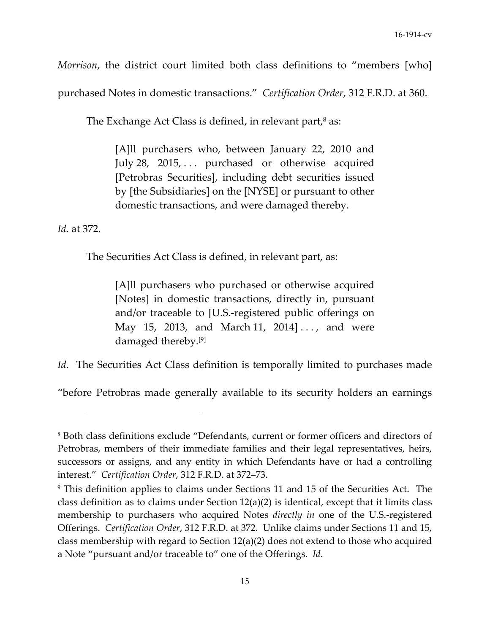*Morrison*, the district court limited both class definitions to "members [who]

purchased Notes in domestic transactions." *Certification Order*, 312 F.R.D. at 360.

The Exchange Act Class is defined, in relevant part, $\delta$  as:

[A]ll purchasers who, between January 22, 2010 and July 28, 2015,  $\ldots$  purchased or otherwise acquired [Petrobras Securities], including debt securities issued by [the Subsidiaries] on the [NYSE] or pursuant to other domestic transactions, and were damaged thereby.

*Id*. at 372.

The Securities Act Class is defined, in relevant part, as:

[A]ll purchasers who purchased or otherwise acquired [Notes] in domestic transactions, directly in, pursuant and/or traceable to [U.S.‐registered public offerings on May 15, 2013, and March 11, 2014]..., and were damaged thereby.[9]

*Id.* The Securities Act Class definition is temporally limited to purchases made

"before Petrobras made generally available to its security holders an earnings

<sup>8</sup> Both class definitions exclude "Defendants, current or former officers and directors of Petrobras, members of their immediate families and their legal representatives, heirs, successors or assigns, and any entity in which Defendants have or had a controlling interest." *Certification Order*, 312 F.R.D. at 372–73.

<sup>9</sup> This definition applies to claims under Sections 11 and 15 of the Securities Act. The class definition as to claims under Section 12(a)(2) is identical, except that it limits class membership to purchasers who acquired Notes *directly in* one of the U.S.‐registered Offerings. *Certification Order*, 312 F.R.D. at 372. Unlike claims under Sections 11 and 15, class membership with regard to Section 12(a)(2) does not extend to those who acquired a Note "pursuant and/or traceable to" one of the Offerings. *Id*.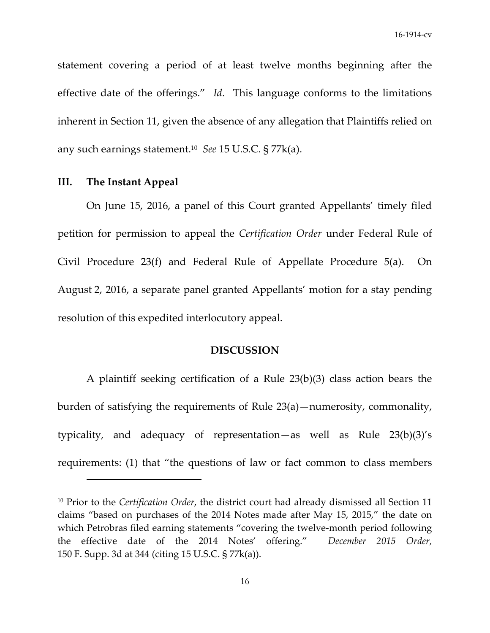statement covering a period of at least twelve months beginning after the effective date of the offerings." *Id*. This language conforms to the limitations inherent in Section 11, given the absence of any allegation that Plaintiffs relied on any such earnings statement.10 *See* 15 U.S.C. § 77k(a).

# **III. The Instant Appeal**

On June 15, 2016, a panel of this Court granted Appellants' timely filed petition for permission to appeal the *Certification Order* under Federal Rule of Civil Procedure 23(f) and Federal Rule of Appellate Procedure 5(a). On August 2, 2016, a separate panel granted Appellants' motion for a stay pending resolution of this expedited interlocutory appeal.

### **DISCUSSION**

A plaintiff seeking certification of a Rule 23(b)(3) class action bears the burden of satisfying the requirements of Rule 23(a)—numerosity, commonality, typicality, and adequacy of representation—as well as Rule 23(b)(3)'s requirements: (1) that "the questions of law or fact common to class members

<sup>10</sup> Prior to the *Certification Order*, the district court had already dismissed all Section 11 claims "based on purchases of the 2014 Notes made after May 15, 2015," the date on which Petrobras filed earning statements "covering the twelve-month period following the effective date of the 2014 Notes' offering." *December 2015 Order*, 150 F. Supp. 3d at 344 (citing 15 U.S.C. § 77k(a)).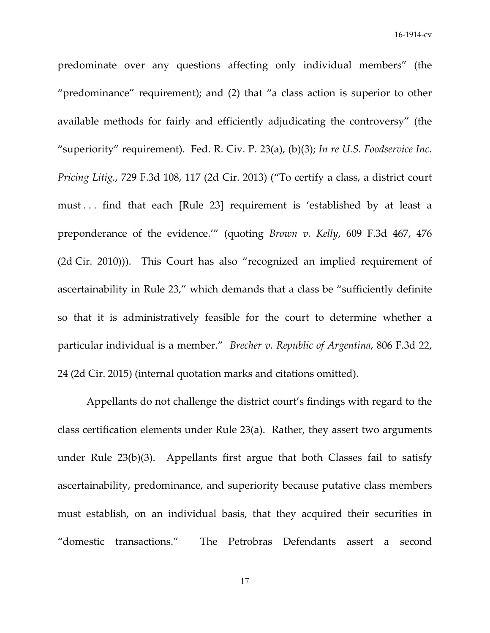predominate over any questions affecting only individual members" (the "predominance" requirement); and (2) that "a class action is superior to other available methods for fairly and efficiently adjudicating the controversy" (the "superiority" requirement). Fed. R. Civ. P. 23(a), (b)(3); *In re U.S. Foodservice Inc. Pricing Litig.*, 729 F.3d 108, 117 (2d Cir. 2013) ("To certify a class, a district court must . . . find that each [Rule 23] requirement is 'established by at least a preponderance of the evidence.'" (quoting *Brown v. Kelly*, 609 F.3d 467, 476 (2d Cir. 2010))). This Court has also "recognized an implied requirement of ascertainability in Rule 23," which demands that a class be "sufficiently definite so that it is administratively feasible for the court to determine whether a particular individual is a member." *Brecher v. Republic of Argentina*, 806 F.3d 22, 24 (2d Cir. 2015) (internal quotation marks and citations omitted).

Appellants do not challenge the district court's findings with regard to the class certification elements under Rule 23(a). Rather, they assert two arguments under Rule  $23(b)(3)$ . Appellants first argue that both Classes fail to satisfy ascertainability, predominance, and superiority because putative class members must establish, on an individual basis, that they acquired their securities in "domestic transactions." The Petrobras Defendants assert a second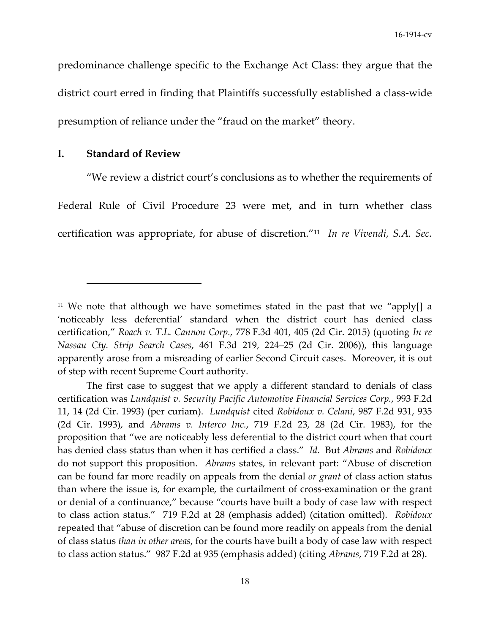predominance challenge specific to the Exchange Act Class: they argue that the district court erred in finding that Plaintiffs successfully established a class-wide presumption of reliance under the "fraud on the market" theory.

# **I. Standard of Review**

"We review a district court's conclusions as to whether the requirements of Federal Rule of Civil Procedure 23 were met, and in turn whether class certification was appropriate, for abuse of discretion."11 *In re Vivendi, S.A. Sec.*

<sup>&</sup>lt;sup>11</sup> We note that although we have sometimes stated in the past that we "apply[] a 'noticeably less deferential' standard when the district court has denied class certification," *Roach v. T.L. Cannon Corp.*, 778 F.3d 401, 405 (2d Cir. 2015) (quoting *In re Nassau Cty. Strip Search Cases*, 461 F.3d 219, 224–25 (2d Cir. 2006)), this language apparently arose from a misreading of earlier Second Circuit cases. Moreover, it is out of step with recent Supreme Court authority.

The first case to suggest that we apply a different standard to denials of class certification was *Lundquist v. Security Pacific Automotive Financial Services Corp.*, 993 F.2d 11, 14 (2d Cir. 1993) (per curiam). *Lundquist* cited *Robidoux v. Celani*, 987 F.2d 931, 935 (2d Cir. 1993), and *Abrams v. Interco Inc.*, 719 F.2d 23, 28 (2d Cir. 1983), for the proposition that "we are noticeably less deferential to the district court when that court has denied class status than when it has certified a class." *Id*. But *Abrams* and *Robidoux* do not support this proposition. *Abrams* states, in relevant part: "Abuse of discretion can be found far more readily on appeals from the denial *or grant* of class action status than where the issue is, for example, the curtailment of cross‐examination or the grant or denial of a continuance," because "courts have built a body of case law with respect to class action status." 719 F.2d at 28 (emphasis added) (citation omitted). *Robidoux* repeated that "abuse of discretion can be found more readily on appeals from the denial of class status *than in other areas*, for the courts have built a body of case law with respect to class action status." 987 F.2d at 935 (emphasis added) (citing *Abrams*, 719 F.2d at 28).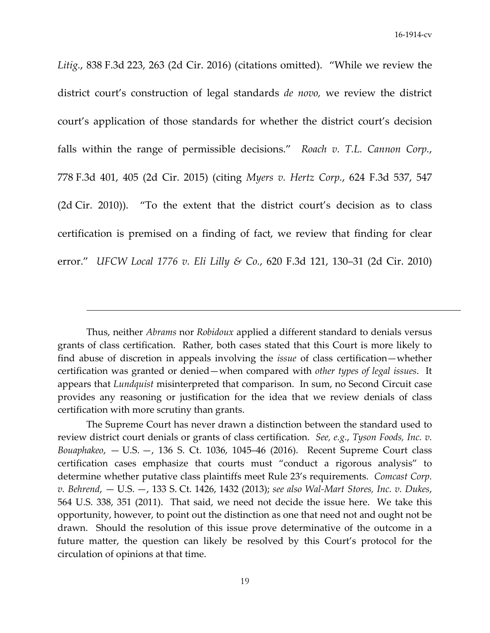*Litig.*, 838 F.3d 223, 263 (2d Cir. 2016) (citations omitted). "While we review the district court's construction of legal standards *de novo,* we review the district court's application of those standards for whether the district court's decision falls within the range of permissible decisions." *Roach v. T.L. Cannon Corp.*, 778 F.3d 401, 405 (2d Cir. 2015) (citing *Myers v. Hertz Corp.*, 624 F.3d 537, 547  $(2d Cir. 2010)$ . "To the extent that the district court's decision as to class certification is premised on a finding of fact, we review that finding for clear error." *UFCW Local 1776 v. Eli Lilly & Co.*, 620 F.3d 121, 130–31 (2d Cir. 2010)

<u> 1989 - Jan Salaman Salaman (j. 1989)</u>

Thus, neither *Abrams* nor *Robidoux* applied a different standard to denials versus grants of class certification. Rather, both cases stated that this Court is more likely to find abuse of discretion in appeals involving the *issue* of class certification—whether certification was granted or denied—when compared with *other types of legal issues*. It appears that *Lundquist* misinterpreted that comparison. In sum, no Second Circuit case provides any reasoning or justification for the idea that we review denials of class certification with more scrutiny than grants.

The Supreme Court has never drawn a distinction between the standard used to review district court denials or grants of class certification. *See, e.g.*, *Tyson Foods, Inc. v. Bouaphakeo*, — U.S. —, 136 S. Ct. 1036, 1045–46 (2016). Recent Supreme Court class certification cases emphasize that courts must "conduct a rigorous analysis" to determine whether putative class plaintiffs meet Rule 23's requirements. *Comcast Corp. v. Behrend*, — U.S. —, 133 S. Ct. 1426, 1432 (2013); *see also Wal‐Mart Stores, Inc. v. Dukes*, 564 U.S. 338, 351 (2011). That said, we need not decide the issue here. We take this opportunity, however, to point out the distinction as one that need not and ought not be drawn. Should the resolution of this issue prove determinative of the outcome in a future matter, the question can likely be resolved by this Court's protocol for the circulation of opinions at that time.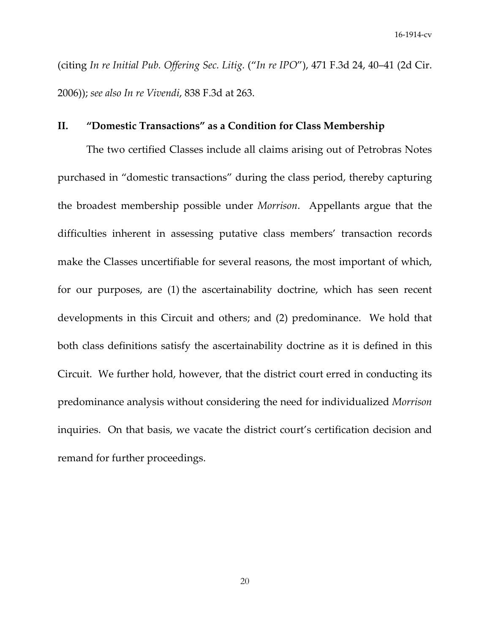(citing *In re Initial Pub. Offering Sec. Litig.* ("*In re IPO*"), 471 F.3d 24, 40–41 (2d Cir. 2006)); *see also In re Vivendi*, 838 F.3d at 263.

# **II. "Domestic Transactions" as a Condition for Class Membership**

The two certified Classes include all claims arising out of Petrobras Notes purchased in "domestic transactions" during the class period, thereby capturing the broadest membership possible under *Morrison*. Appellants argue that the difficulties inherent in assessing putative class members' transaction records make the Classes uncertifiable for several reasons, the most important of which, for our purposes, are (1) the ascertainability doctrine, which has seen recent developments in this Circuit and others; and (2) predominance. We hold that both class definitions satisfy the ascertainability doctrine as it is defined in this Circuit. We further hold, however, that the district court erred in conducting its predominance analysis without considering the need for individualized *Morrison* inquiries. On that basis, we vacate the district court's certification decision and remand for further proceedings.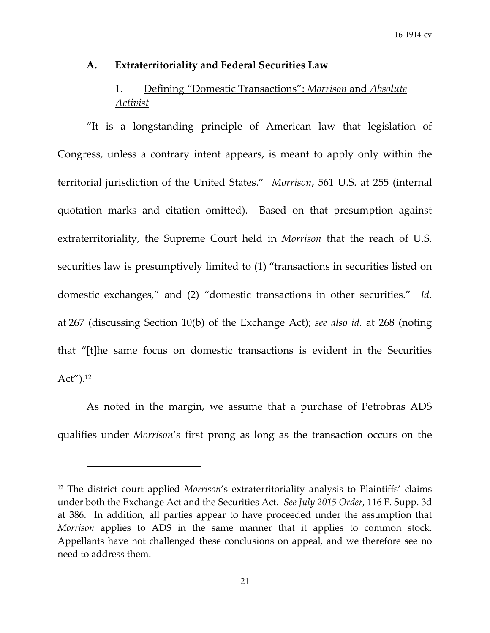### **A. Extraterritoriality and Federal Securities Law**

# 1. Defining "Domestic Transactions": *Morrison* and *Absolute Activist*

"It is a longstanding principle of American law that legislation of Congress, unless a contrary intent appears, is meant to apply only within the territorial jurisdiction of the United States." *Morrison*, 561 U.S. at 255 (internal quotation marks and citation omitted). Based on that presumption against extraterritoriality, the Supreme Court held in *Morrison* that the reach of U.S. securities law is presumptively limited to (1) "transactions in securities listed on domestic exchanges," and (2) "domestic transactions in other securities." *Id*. at 267 (discussing Section 10(b) of the Exchange Act); *see also id.* at 268 (noting that "[t]he same focus on domestic transactions is evident in the Securities Act").12

As noted in the margin, we assume that a purchase of Petrobras ADS qualifies under *Morrison*'s first prong as long as the transaction occurs on the

<sup>12</sup> The district court applied *Morrison*'s extraterritoriality analysis to Plaintiffs' claims under both the Exchange Act and the Securities Act. *See July 2015 Order*, 116 F. Supp. 3d at 386. In addition, all parties appear to have proceeded under the assumption that *Morrison* applies to ADS in the same manner that it applies to common stock. Appellants have not challenged these conclusions on appeal, and we therefore see no need to address them.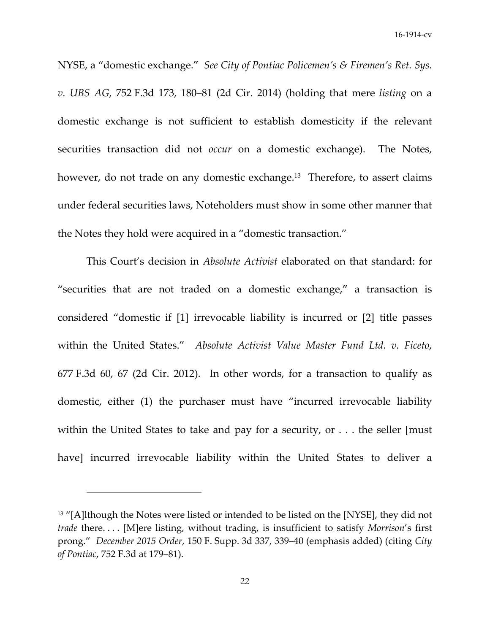NYSE, a "domestic exchange." *See City of Pontiac Policemen's & Firemen's Ret. Sys. v. UBS AG*, 752 F.3d 173, 180–81 (2d Cir. 2014) (holding that mere *listing* on a domestic exchange is not sufficient to establish domesticity if the relevant securities transaction did not *occur* on a domestic exchange). The Notes, however, do not trade on any domestic exchange.<sup>13</sup> Therefore, to assert claims under federal securities laws, Noteholders must show in some other manner that the Notes they hold were acquired in a "domestic transaction."

This Court's decision in *Absolute Activist* elaborated on that standard: for "securities that are not traded on a domestic exchange," a transaction is considered "domestic if [1] irrevocable liability is incurred or [2] title passes within the United States." *Absolute Activist Value Master Fund Ltd. v. Ficeto*, 677 F.3d 60, 67 (2d Cir. 2012). In other words, for a transaction to qualify as domestic, either (1) the purchaser must have "incurred irrevocable liability within the United States to take and pay for a security, or . . . the seller [must] have] incurred irrevocable liability within the United States to deliver a

<sup>&</sup>lt;sup>13</sup> "[A]lthough the Notes were listed or intended to be listed on the [NYSE], they did not *trade* there. . . . [M]ere listing, without trading, is insufficient to satisfy *Morrison*'s first prong." *December 2015 Order*, 150 F. Supp. 3d 337, 339–40 (emphasis added) (citing *City of Pontiac*, 752 F.3d at 179–81).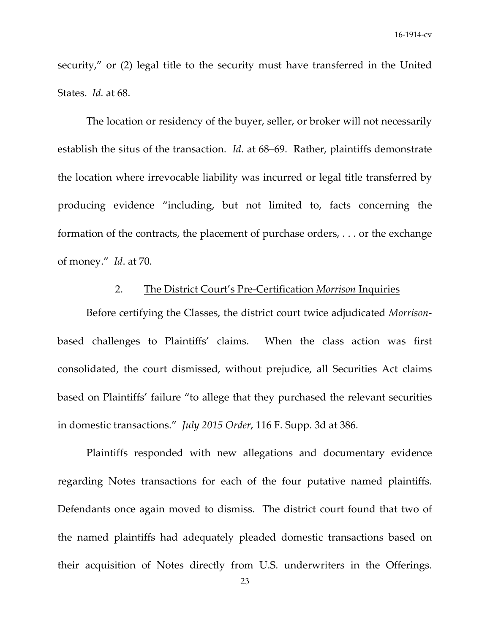security," or (2) legal title to the security must have transferred in the United States. *Id.* at 68.

The location or residency of the buyer, seller, or broker will not necessarily establish the situs of the transaction. *Id*. at 68–69. Rather, plaintiffs demonstrate the location where irrevocable liability was incurred or legal title transferred by producing evidence "including, but not limited to, facts concerning the formation of the contracts, the placement of purchase orders, . . . or the exchange of money." *Id*. at 70.

# 2. The District Court's Pre‐Certification *Morrison* Inquiries

Before certifying the Classes, the district court twice adjudicated *Morrison*‐ based challenges to Plaintiffs' claims. When the class action was first consolidated, the court dismissed, without prejudice, all Securities Act claims based on Plaintiffs' failure "to allege that they purchased the relevant securities in domestic transactions." *July 2015 Order*, 116 F. Supp. 3d at 386.

Plaintiffs responded with new allegations and documentary evidence regarding Notes transactions for each of the four putative named plaintiffs. Defendants once again moved to dismiss. The district court found that two of the named plaintiffs had adequately pleaded domestic transactions based on their acquisition of Notes directly from U.S. underwriters in the Offerings.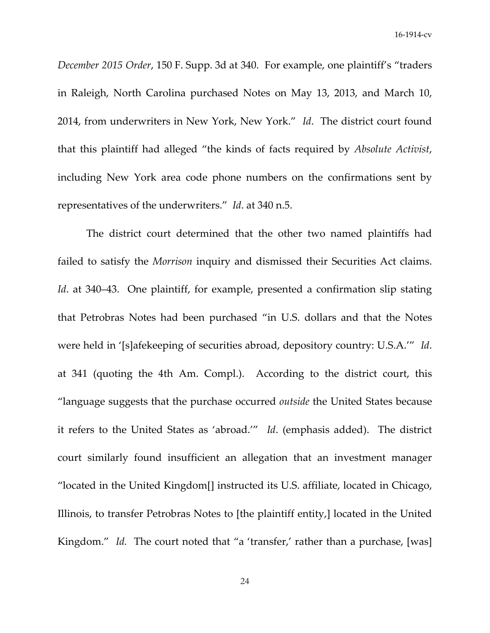*December 2015 Order*, 150 F. Supp. 3d at 340. For example, one plaintiff's "traders in Raleigh, North Carolina purchased Notes on May 13, 2013, and March 10, 2014, from underwriters in New York, New York." *Id*. The district court found that this plaintiff had alleged "the kinds of facts required by *Absolute Activist*, including New York area code phone numbers on the confirmations sent by representatives of the underwriters." *Id*. at 340 n.5.

The district court determined that the other two named plaintiffs had failed to satisfy the *Morrison* inquiry and dismissed their Securities Act claims. *Id.* at 340–43. One plaintiff, for example, presented a confirmation slip stating that Petrobras Notes had been purchased "in U.S. dollars and that the Notes were held in '[s]afekeeping of securities abroad, depository country: U.S.A.'" *Id*. at 341 (quoting the 4th Am. Compl.). According to the district court, this "language suggests that the purchase occurred *outside* the United States because it refers to the United States as 'abroad.'" *Id*. (emphasis added). The district court similarly found insufficient an allegation that an investment manager "located in the United Kingdom[] instructed its U.S. affiliate, located in Chicago, Illinois, to transfer Petrobras Notes to [the plaintiff entity,] located in the United Kingdom." *Id.* The court noted that "a 'transfer,' rather than a purchase, [was]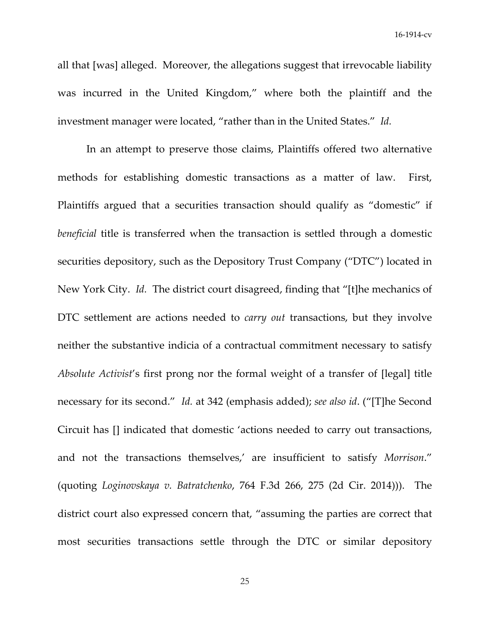all that [was] alleged. Moreover, the allegations suggest that irrevocable liability was incurred in the United Kingdom," where both the plaintiff and the investment manager were located, "rather than in the United States." *Id.*

In an attempt to preserve those claims, Plaintiffs offered two alternative methods for establishing domestic transactions as a matter of law. First, Plaintiffs argued that a securities transaction should qualify as "domestic" if *beneficial* title is transferred when the transaction is settled through a domestic securities depository, such as the Depository Trust Company ("DTC") located in New York City. *Id.* The district court disagreed, finding that "[t]he mechanics of DTC settlement are actions needed to *carry out* transactions, but they involve neither the substantive indicia of a contractual commitment necessary to satisfy *Absolute Activist*'s first prong nor the formal weight of a transfer of [legal] title necessary for its second." *Id.* at 342 (emphasis added); *see also id*. ("[T]he Second Circuit has [] indicated that domestic 'actions needed to carry out transactions, and not the transactions themselves,' are insufficient to satisfy *Morrison*." (quoting *Loginovskaya v. Batratchenko*, 764 F.3d 266, 275 (2d Cir. 2014))). The district court also expressed concern that, "assuming the parties are correct that most securities transactions settle through the DTC or similar depository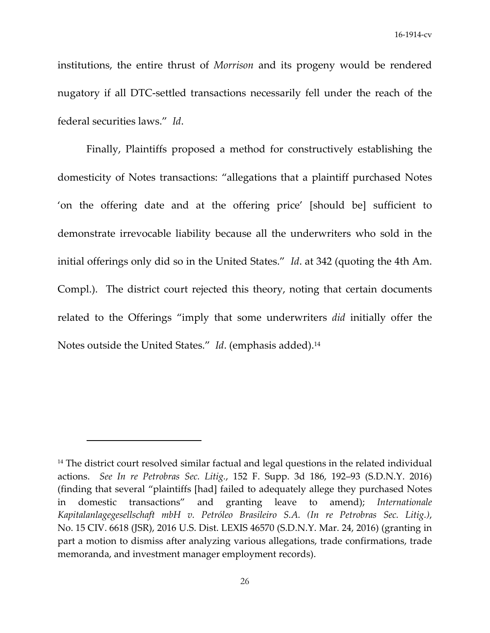institutions, the entire thrust of *Morrison* and its progeny would be rendered nugatory if all DTC‐settled transactions necessarily fell under the reach of the federal securities laws." *Id*.

Finally, Plaintiffs proposed a method for constructively establishing the domesticity of Notes transactions: "allegations that a plaintiff purchased Notes 'on the offering date and at the offering price' [should be] sufficient to demonstrate irrevocable liability because all the underwriters who sold in the initial offerings only did so in the United States." *Id*. at 342 (quoting the 4th Am. Compl.). The district court rejected this theory, noting that certain documents related to the Offerings "imply that some underwriters *did* initially offer the Notes outside the United States." *Id*. (emphasis added).14

<sup>&</sup>lt;sup>14</sup> The district court resolved similar factual and legal questions in the related individual actions. *See In re Petrobras Sec. Litig.*, 152 F. Supp. 3d 186, 192–93 (S.D.N.Y. 2016) (finding that several "plaintiffs [had] failed to adequately allege they purchased Notes in domestic transactions" and granting leave to amend); *Internationale Kapitalanlagegesellschaft mbH v. Petróleo Brasileiro S.A. (In re Petrobras Sec. Litig.)*, No. 15 CIV. 6618 (JSR), 2016 U.S. Dist. LEXIS 46570 (S.D.N.Y. Mar. 24, 2016) (granting in part a motion to dismiss after analyzing various allegations, trade confirmations, trade memoranda, and investment manager employment records).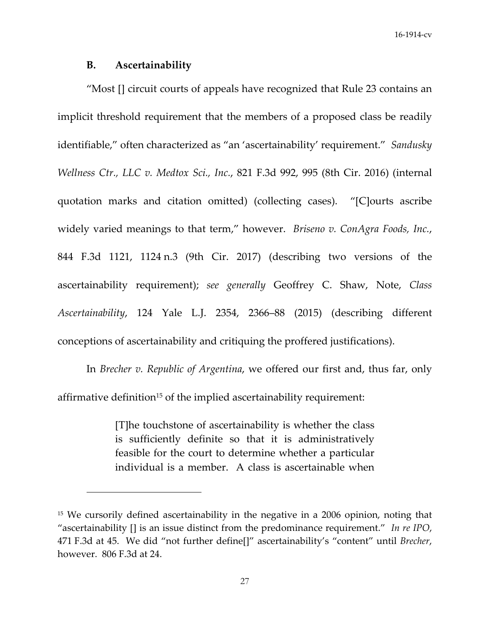### **B. Ascertainability**

"Most [] circuit courts of appeals have recognized that Rule 23 contains an implicit threshold requirement that the members of a proposed class be readily identifiable," often characterized as "an 'ascertainability' requirement." *Sandusky Wellness Ctr., LLC v. Medtox Sci., Inc.*, 821 F.3d 992, 995 (8th Cir. 2016) (internal quotation marks and citation omitted) (collecting cases). "[C]ourts ascribe widely varied meanings to that term," however. *Briseno v. ConAgra Foods, Inc.*, 844 F.3d 1121, 1124 n.3 (9th Cir. 2017) (describing two versions of the ascertainability requirement); *see generally* Geoffrey C. Shaw, Note, *Class Ascertainability*, 124 Yale L.J. 2354, 2366–88 (2015) (describing different conceptions of ascertainability and critiquing the proffered justifications).

In *Brecher v. Republic of Argentina*, we offered our first and, thus far, only affirmative definition<sup>15</sup> of the implied ascertainability requirement:

> [T]he touchstone of ascertainability is whether the class is sufficiently definite so that it is administratively feasible for the court to determine whether a particular individual is a member. A class is ascertainable when

<sup>&</sup>lt;sup>15</sup> We cursorily defined ascertainability in the negative in a 2006 opinion, noting that "ascertainability [] is an issue distinct from the predominance requirement." *In re IPO*, 471 F.3d at 45. We did "not further define[]" ascertainability's "content" until *Brecher*, however. 806 F.3d at 24.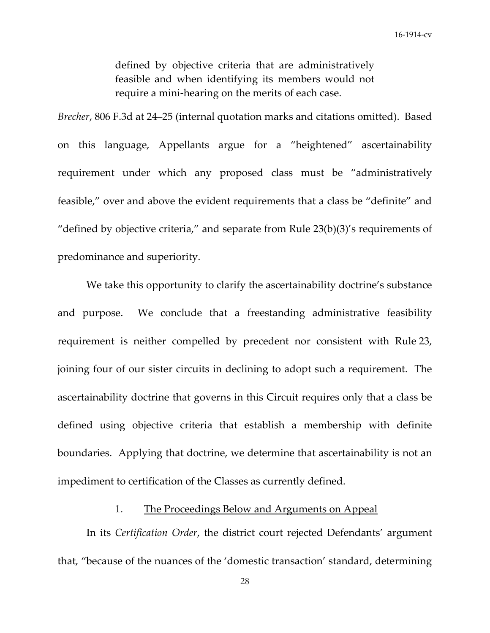defined by objective criteria that are administratively feasible and when identifying its members would not require a mini‐hearing on the merits of each case.

*Brecher*, 806 F.3d at 24–25 (internal quotation marks and citations omitted). Based on this language, Appellants argue for a "heightened" ascertainability requirement under which any proposed class must be "administratively feasible," over and above the evident requirements that a class be "definite" and "defined by objective criteria," and separate from Rule  $23(b)(3)$ 's requirements of predominance and superiority.

We take this opportunity to clarify the ascertainability doctrine's substance and purpose. We conclude that a freestanding administrative feasibility requirement is neither compelled by precedent nor consistent with Rule 23, joining four of our sister circuits in declining to adopt such a requirement. The ascertainability doctrine that governs in this Circuit requires only that a class be defined using objective criteria that establish a membership with definite boundaries. Applying that doctrine, we determine that ascertainability is not an impediment to certification of the Classes as currently defined.

### 1. The Proceedings Below and Arguments on Appeal

In its *Certification Order*, the district court rejected Defendants' argument that, "because of the nuances of the 'domestic transaction' standard, determining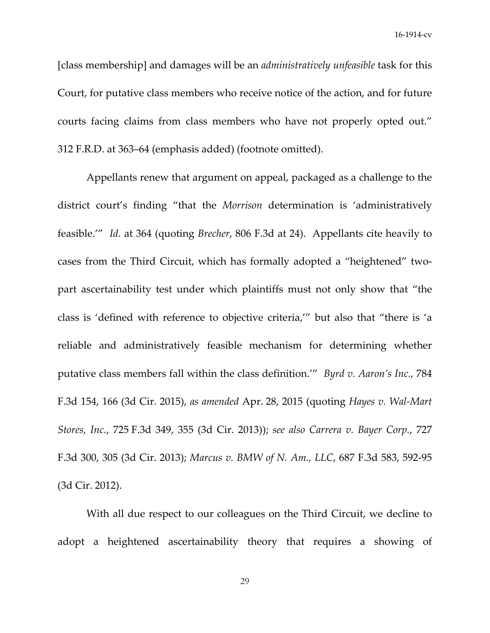[class membership] and damages will be an *administratively unfeasible* task for this Court, for putative class members who receive notice of the action, and for future courts facing claims from class members who have not properly opted out." 312 F.R.D. at 363–64 (emphasis added) (footnote omitted).

Appellants renew that argument on appeal, packaged as a challenge to the district court's finding "that the *Morrison* determination is 'administratively feasible.'" *Id.* at 364 (quoting *Brecher*, 806 F.3d at 24). Appellants cite heavily to cases from the Third Circuit, which has formally adopted a "heightened" two‐ part ascertainability test under which plaintiffs must not only show that "the class is 'defined with reference to objective criteria,'" but also that "there is 'a reliable and administratively feasible mechanism for determining whether putative class members fall within the class definition.'" *Byrd v. Aaron's Inc.*, 784 F.3d 154, 166 (3d Cir. 2015), *as amended* Apr. 28, 2015 (quoting *Hayes v. Wal‐Mart Stores, Inc.*, 725 F.3d 349, 355 (3d Cir. 2013)); *see also Carrera v. Bayer Corp.*, 727 F.3d 300, 305 (3d Cir. 2013); *Marcus v. BMW of N. Am., LLC*, 687 F.3d 583, 592‐95 (3d Cir. 2012).

With all due respect to our colleagues on the Third Circuit, we decline to adopt a heightened ascertainability theory that requires a showing of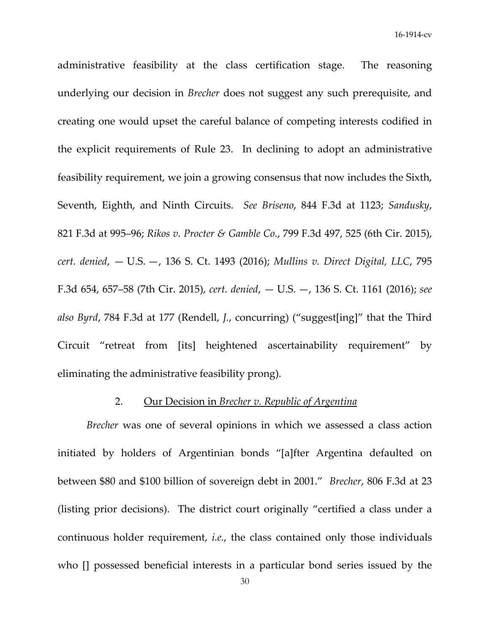administrative feasibility at the class certification stage. The reasoning underlying our decision in *Brecher* does not suggest any such prerequisite, and creating one would upset the careful balance of competing interests codified in the explicit requirements of Rule 23. In declining to adopt an administrative feasibility requirement, we join a growing consensus that now includes the Sixth, Seventh, Eighth, and Ninth Circuits. *See Briseno*, 844 F.3d at 1123; *Sandusky*, 821 F.3d at 995–96; *Rikos v. Procter & Gamble Co.*, 799 F.3d 497, 525 (6th Cir. 2015), *cert. denied*, — U.S. —, 136 S. Ct. 1493 (2016); *Mullins v. Direct Digital, LLC*, 795 F.3d 654, 657–58 (7th Cir. 2015), *cert. denied*, — U.S. —, 136 S. Ct. 1161 (2016); *see also Byrd*, 784 F.3d at 177 (Rendell, *J.*, concurring) ("suggest[ing]" that the Third Circuit "retreat from [its] heightened ascertainability requirement" by eliminating the administrative feasibility prong).

### 2. Our Decision in *Brecher v. Republic of Argentina*

*Brecher* was one of several opinions in which we assessed a class action initiated by holders of Argentinian bonds "[a]fter Argentina defaulted on between \$80 and \$100 billion of sovereign debt in 2001." *Brecher*, 806 F.3d at 23 (listing prior decisions). The district court originally "certified a class under a continuous holder requirement, *i.e.*, the class contained only those individuals who [] possessed beneficial interests in a particular bond series issued by the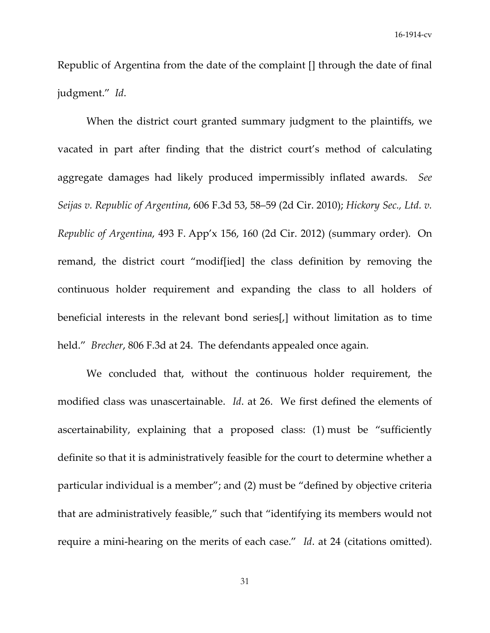Republic of Argentina from the date of the complaint [] through the date of final judgment." *Id*.

When the district court granted summary judgment to the plaintiffs, we vacated in part after finding that the district court's method of calculating aggregate damages had likely produced impermissibly inflated awards. *See Seijas v. Republic of Argentina*, 606 F.3d 53, 58–59 (2d Cir. 2010); *Hickory Sec., Ltd. v. Republic of Argentina*, 493 F. App'x 156, 160 (2d Cir. 2012) (summary order). On remand, the district court "modif[ied] the class definition by removing the continuous holder requirement and expanding the class to all holders of beneficial interests in the relevant bond series[,] without limitation as to time held." *Brecher*, 806 F.3d at 24. The defendants appealed once again.

We concluded that, without the continuous holder requirement, the modified class was unascertainable. *Id*. at 26. We first defined the elements of ascertainability, explaining that a proposed class: (1) must be "sufficiently definite so that it is administratively feasible for the court to determine whether a particular individual is a member"; and (2) must be "defined by objective criteria that are administratively feasible," such that "identifying its members would not require a mini-hearing on the merits of each case." *Id.* at 24 (citations omitted).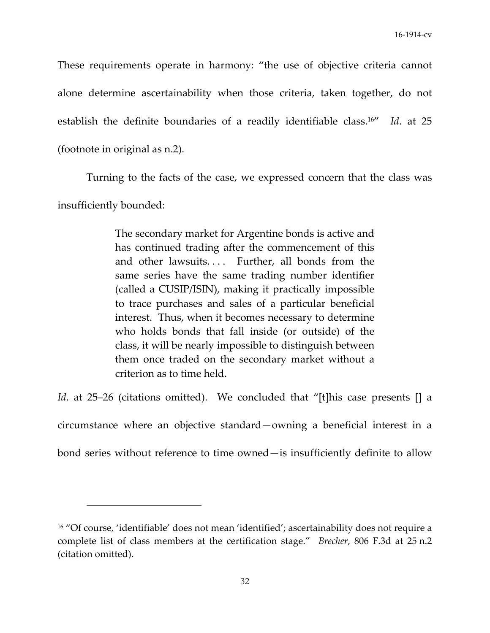These requirements operate in harmony: "the use of objective criteria cannot alone determine ascertainability when those criteria, taken together, do not establish the definite boundaries of a readily identifiable class.16" *Id*. at 25 (footnote in original as n.2).

Turning to the facts of the case, we expressed concern that the class was

insufficiently bounded:

The secondary market for Argentine bonds is active and has continued trading after the commencement of this and other lawsuits.... Further, all bonds from the same series have the same trading number identifier (called a CUSIP/ISIN), making it practically impossible to trace purchases and sales of a particular beneficial interest. Thus, when it becomes necessary to determine who holds bonds that fall inside (or outside) of the class, it will be nearly impossible to distinguish between them once traded on the secondary market without a criterion as to time held.

*Id.* at 25–26 (citations omitted). We concluded that "[t]his case presents [] a

circumstance where an objective standard—owning a beneficial interest in a

bond series without reference to time owned—is insufficiently definite to allow

<sup>&</sup>lt;sup>16</sup> "Of course, 'identifiable' does not mean 'identified'; ascertainability does not require a complete list of class members at the certification stage." *Brecher*, 806 F.3d at 25 n.2 (citation omitted).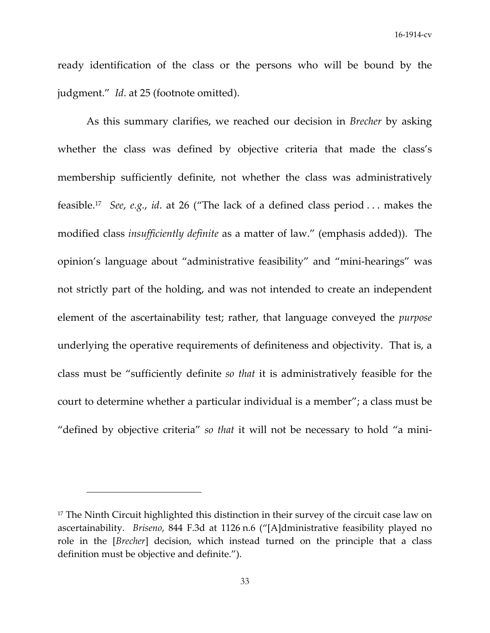ready identification of the class or the persons who will be bound by the judgment." *Id*. at 25 (footnote omitted).

As this summary clarifies, we reached our decision in *Brecher* by asking whether the class was defined by objective criteria that made the class's membership sufficiently definite, not whether the class was administratively feasible.17 *See*, *e.g.*, *id*. at 26 ("The lack of a defined class period . . . makes the modified class *insufficiently definite* as a matter of law." (emphasis added)). The opinion's language about "administrative feasibility" and "mini‐hearings" was not strictly part of the holding, and was not intended to create an independent element of the ascertainability test; rather, that language conveyed the *purpose* underlying the operative requirements of definiteness and objectivity. That is, a class must be "sufficiently definite *so that* it is administratively feasible for the court to determine whether a particular individual is a member"; a class must be "defined by objective criteria" *so that* it will not be necessary to hold "a mini‐

<sup>&</sup>lt;sup>17</sup> The Ninth Circuit highlighted this distinction in their survey of the circuit case law on ascertainability. *Briseno*, 844 F.3d at 1126 n.6 ("[A]dministrative feasibility played no role in the [*Brecher*] decision, which instead turned on the principle that a class definition must be objective and definite.").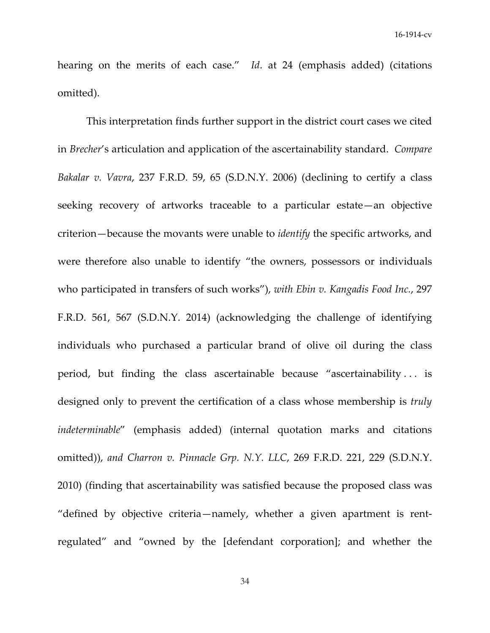hearing on the merits of each case." *Id*. at 24 (emphasis added) (citations omitted).

This interpretation finds further support in the district court cases we cited in *Brecher*'s articulation and application of the ascertainability standard. *Compare Bakalar v. Vavra*, 237 F.R.D. 59, 65 (S.D.N.Y. 2006) (declining to certify a class seeking recovery of artworks traceable to a particular estate—an objective criterion—because the movants were unable to *identify* the specific artworks, and were therefore also unable to identify "the owners, possessors or individuals who participated in transfers of such works"), *with Ebin v. Kangadis Food Inc.*, 297 F.R.D. 561, 567 (S.D.N.Y. 2014) (acknowledging the challenge of identifying individuals who purchased a particular brand of olive oil during the class period, but finding the class ascertainable because "ascertainability . . . is designed only to prevent the certification of a class whose membership is *truly indeterminable*" (emphasis added) (internal quotation marks and citations omitted)), *and Charron v. Pinnacle Grp. N.Y. LLC*, 269 F.R.D. 221, 229 (S.D.N.Y. 2010) (finding that ascertainability was satisfied because the proposed class was "defined by objective criteria—namely, whether a given apartment is rent‐ regulated" and "owned by the [defendant corporation]; and whether the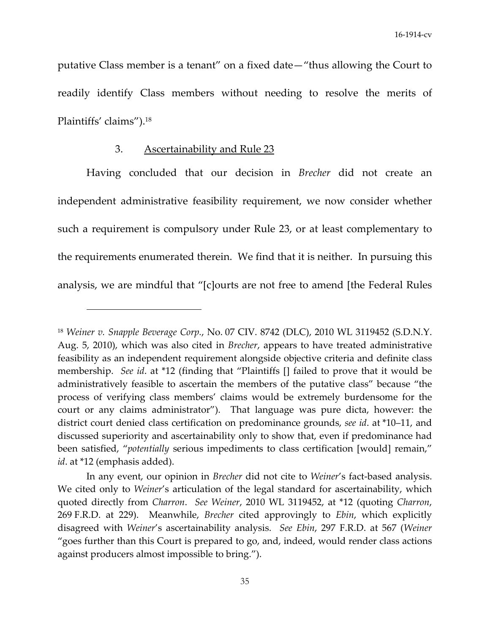putative Class member is a tenant" on a fixed date—"thus allowing the Court to readily identify Class members without needing to resolve the merits of Plaintiffs' claims").18

# 3. Ascertainability and Rule 23

Having concluded that our decision in *Brecher* did not create an independent administrative feasibility requirement, we now consider whether such a requirement is compulsory under Rule 23, or at least complementary to the requirements enumerated therein. We find that it is neither. In pursuing this analysis, we are mindful that "[c]ourts are not free to amend [the Federal Rules

<sup>18</sup> *Weiner v. Snapple Beverage Corp.*, No. 07 CIV. 8742 (DLC), 2010 WL 3119452 (S.D.N.Y. Aug. 5, 2010), which was also cited in *Brecher*, appears to have treated administrative feasibility as an independent requirement alongside objective criteria and definite class membership. *See id*. at \*12 (finding that "Plaintiffs [] failed to prove that it would be administratively feasible to ascertain the members of the putative class" because "the process of verifying class members' claims would be extremely burdensome for the court or any claims administrator"). That language was pure dicta, however: the district court denied class certification on predominance grounds, *see id*. at \*10–11, and discussed superiority and ascertainability only to show that, even if predominance had been satisfied, "*potentially* serious impediments to class certification [would] remain," *id*. at \*12 (emphasis added).

In any event, our opinion in *Brecher* did not cite to *Weiner's* fact-based analysis. We cited only to *Weiner*'s articulation of the legal standard for ascertainability, which quoted directly from *Charron*. *See Weiner*, 2010 WL 3119452, at \*12 (quoting *Charron*, 269 F.R.D. at 229). Meanwhile, *Brecher* cited approvingly to *Ebin*, which explicitly disagreed with *Weiner*'s ascertainability analysis. *See Ebin*, 297 F.R.D. at 567 (*Weiner* "goes further than this Court is prepared to go, and, indeed, would render class actions against producers almost impossible to bring.").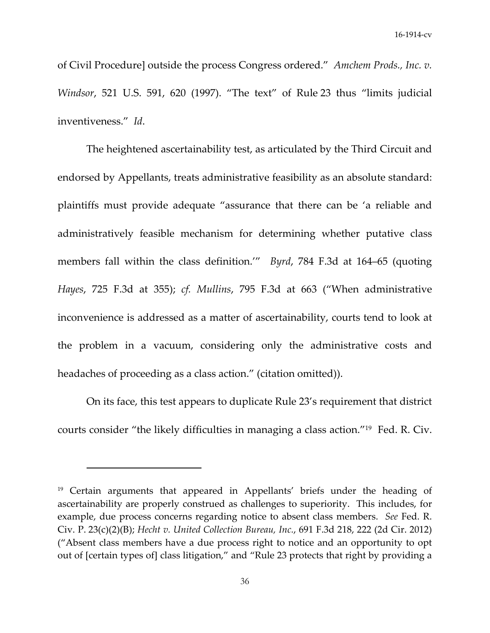of Civil Procedure] outside the process Congress ordered." *Amchem Prods., Inc. v. Windsor*, 521 U.S. 591, 620 (1997). "The text" of Rule 23 thus "limits judicial inventiveness." *Id*.

The heightened ascertainability test, as articulated by the Third Circuit and endorsed by Appellants, treats administrative feasibility as an absolute standard: plaintiffs must provide adequate "assurance that there can be 'a reliable and administratively feasible mechanism for determining whether putative class members fall within the class definition.'" *Byrd*, 784 F.3d at 164–65 (quoting *Hayes*, 725 F.3d at 355); *cf. Mullins*, 795 F.3d at 663 ("When administrative inconvenience is addressed as a matter of ascertainability, courts tend to look at the problem in a vacuum, considering only the administrative costs and headaches of proceeding as a class action." (citation omitted)).

On its face, this test appears to duplicate Rule 23's requirement that district courts consider "the likely difficulties in managing a class action."19 Fed. R. Civ.

<sup>19</sup> Certain arguments that appeared in Appellants' briefs under the heading of ascertainability are properly construed as challenges to superiority. This includes, for example, due process concerns regarding notice to absent class members. *See* Fed. R. Civ. P. 23(c)(2)(B); *Hecht v. United Collection Bureau, Inc.*, 691 F.3d 218, 222 (2d Cir. 2012) ("Absent class members have a due process right to notice and an opportunity to opt out of [certain types of] class litigation," and "Rule 23 protects that right by providing a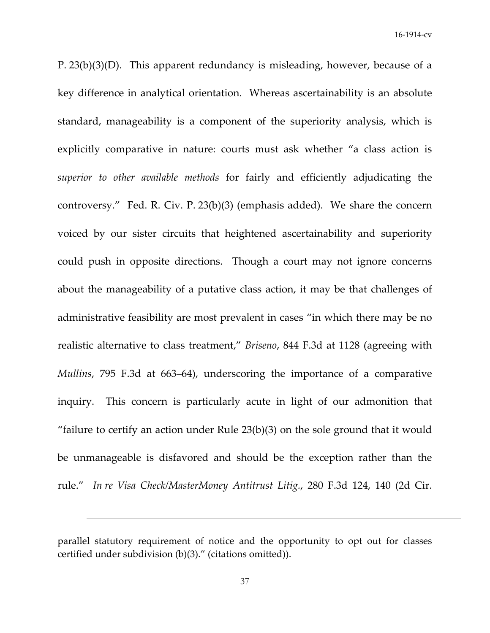P. 23(b)(3)(D). This apparent redundancy is misleading, however, because of a key difference in analytical orientation. Whereas ascertainability is an absolute standard, manageability is a component of the superiority analysis, which is explicitly comparative in nature: courts must ask whether "a class action is *superior to other available methods* for fairly and efficiently adjudicating the controversy." Fed. R. Civ. P. 23(b)(3) (emphasis added). We share the concern voiced by our sister circuits that heightened ascertainability and superiority could push in opposite directions. Though a court may not ignore concerns about the manageability of a putative class action, it may be that challenges of administrative feasibility are most prevalent in cases "in which there may be no realistic alternative to class treatment," *Briseno*, 844 F.3d at 1128 (agreeing with *Mullins*, 795 F.3d at 663–64), underscoring the importance of a comparative inquiry. This concern is particularly acute in light of our admonition that "failure to certify an action under Rule 23(b)(3) on the sole ground that it would be unmanageable is disfavored and should be the exception rather than the rule." *In re Visa Check/MasterMoney Antitrust Litig.*, 280 F.3d 124, 140 (2d Cir.

<u> 1989 - Jan Salaman Salaman (j. 1989)</u>

parallel statutory requirement of notice and the opportunity to opt out for classes certified under subdivision (b)(3)." (citations omitted)).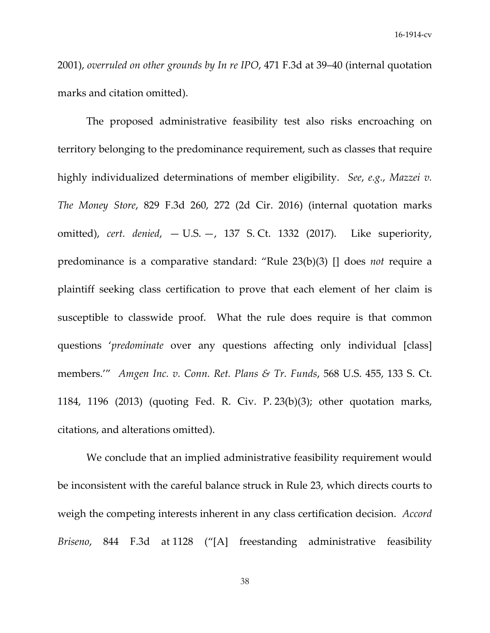2001), *overruled on other grounds by In re IPO*, 471 F.3d at 39–40 (internal quotation marks and citation omitted).

The proposed administrative feasibility test also risks encroaching on territory belonging to the predominance requirement, such as classes that require highly individualized determinations of member eligibility. *See*, *e.g.*, *Mazzei v. The Money Store*, 829 F.3d 260, 272 (2d Cir. 2016) (internal quotation marks omitted), *cert. denied*, — U.S. —, 137 S. Ct. 1332 (2017). Like superiority, predominance is a comparative standard: "Rule 23(b)(3) [] does *not* require a plaintiff seeking class certification to prove that each element of her claim is susceptible to classwide proof. What the rule does require is that common questions '*predominate* over any questions affecting only individual [class] members.'" *Amgen Inc. v. Conn. Ret. Plans & Tr. Funds*, 568 U.S. 455, 133 S. Ct. 1184, 1196 (2013) (quoting Fed. R. Civ. P. 23(b)(3); other quotation marks, citations, and alterations omitted).

We conclude that an implied administrative feasibility requirement would be inconsistent with the careful balance struck in Rule 23, which directs courts to weigh the competing interests inherent in any class certification decision. *Accord Briseno*, 844 F.3d at 1128 ("[A] freestanding administrative feasibility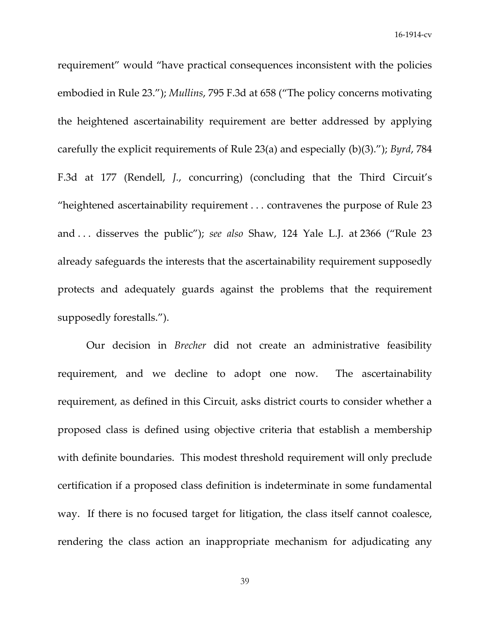requirement" would "have practical consequences inconsistent with the policies embodied in Rule 23."); *Mullins*, 795 F.3d at 658 ("The policy concerns motivating the heightened ascertainability requirement are better addressed by applying carefully the explicit requirements of Rule 23(a) and especially (b)(3)."); *Byrd*, 784 F.3d at 177 (Rendell, *J.*, concurring) (concluding that the Third Circuit's "heightened ascertainability requirement . . . contravenes the purpose of Rule 23 and . . . disserves the public"); *see also* Shaw, 124 Yale L.J. at 2366 ("Rule 23 already safeguards the interests that the ascertainability requirement supposedly protects and adequately guards against the problems that the requirement supposedly forestalls.").

Our decision in *Brecher* did not create an administrative feasibility requirement, and we decline to adopt one now. The ascertainability requirement, as defined in this Circuit, asks district courts to consider whether a proposed class is defined using objective criteria that establish a membership with definite boundaries. This modest threshold requirement will only preclude certification if a proposed class definition is indeterminate in some fundamental way. If there is no focused target for litigation, the class itself cannot coalesce, rendering the class action an inappropriate mechanism for adjudicating any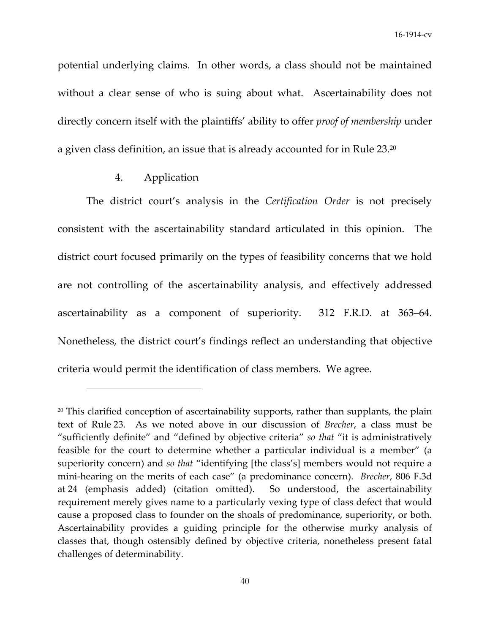potential underlying claims. In other words, a class should not be maintained without a clear sense of who is suing about what. Ascertainability does not directly concern itself with the plaintiffs' ability to offer *proof of membership* under a given class definition, an issue that is already accounted for in Rule 23.20

# 4. Application

The district court's analysis in the *Certification Order* is not precisely consistent with the ascertainability standard articulated in this opinion. The district court focused primarily on the types of feasibility concerns that we hold are not controlling of the ascertainability analysis, and effectively addressed ascertainability as a component of superiority. 312 F.R.D. at 363–64. Nonetheless, the district court's findings reflect an understanding that objective criteria would permit the identification of class members. We agree.

<sup>&</sup>lt;sup>20</sup> This clarified conception of ascertainability supports, rather than supplants, the plain text of Rule 23. As we noted above in our discussion of *Brecher*, a class must be "sufficiently definite" and "defined by objective criteria" *so that* "it is administratively feasible for the court to determine whether a particular individual is a member" (a superiority concern) and *so that* "identifying [the class's] members would not require a mini‐hearing on the merits of each case" (a predominance concern). *Brecher*, 806 F.3d at 24 (emphasis added) (citation omitted). So understood, the ascertainability requirement merely gives name to a particularly vexing type of class defect that would cause a proposed class to founder on the shoals of predominance, superiority, or both. Ascertainability provides a guiding principle for the otherwise murky analysis of classes that, though ostensibly defined by objective criteria, nonetheless present fatal challenges of determinability.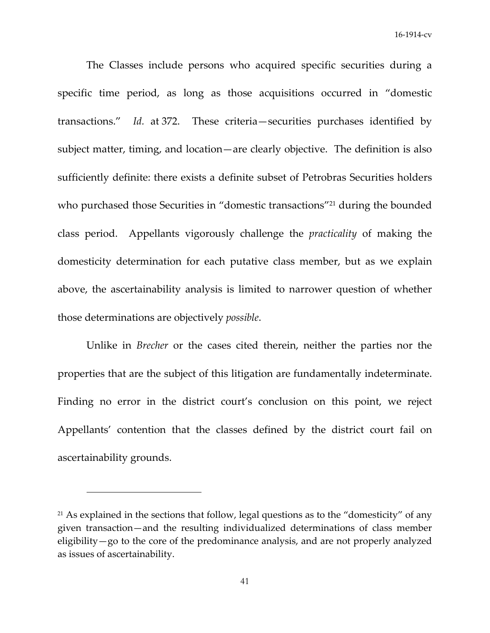The Classes include persons who acquired specific securities during a specific time period, as long as those acquisitions occurred in "domestic transactions." *Id.* at 372. These criteria—securities purchases identified by subject matter, timing, and location—are clearly objective. The definition is also sufficiently definite: there exists a definite subset of Petrobras Securities holders who purchased those Securities in "domestic transactions"<sup>21</sup> during the bounded class period. Appellants vigorously challenge the *practicality* of making the domesticity determination for each putative class member, but as we explain above, the ascertainability analysis is limited to narrower question of whether those determinations are objectively *possible*.

Unlike in *Brecher* or the cases cited therein, neither the parties nor the properties that are the subject of this litigation are fundamentally indeterminate. Finding no error in the district court's conclusion on this point, we reject Appellants' contention that the classes defined by the district court fail on ascertainability grounds.

 $21$  As explained in the sections that follow, legal questions as to the "domesticity" of any given transaction—and the resulting individualized determinations of class member eligibility—go to the core of the predominance analysis, and are not properly analyzed as issues of ascertainability.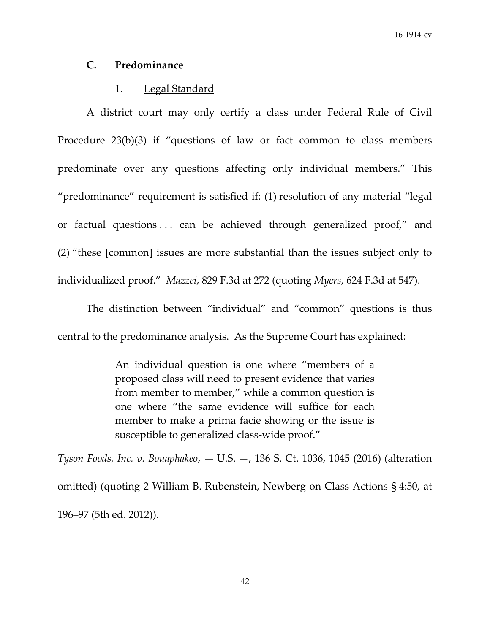### **C. Predominance**

# 1. Legal Standard

A district court may only certify a class under Federal Rule of Civil Procedure 23(b)(3) if "questions of law or fact common to class members predominate over any questions affecting only individual members." This "predominance" requirement is satisfied if: (1) resolution of any material "legal or factual questions . . . can be achieved through generalized proof," and (2) "these [common] issues are more substantial than the issues subject only to individualized proof." *Mazzei*, 829 F.3d at 272 (quoting *Myers*, 624 F.3d at 547).

The distinction between "individual" and "common" questions is thus central to the predominance analysis. As the Supreme Court has explained:

> An individual question is one where "members of a proposed class will need to present evidence that varies from member to member," while a common question is one where "the same evidence will suffice for each member to make a prima facie showing or the issue is susceptible to generalized class-wide proof."

*Tyson Foods, Inc. v. Bouaphakeo*, — U.S. —, 136 S. Ct. 1036, 1045 (2016) (alteration omitted) (quoting 2 William B. Rubenstein, Newberg on Class Actions § 4:50, at 196–97 (5th ed. 2012)).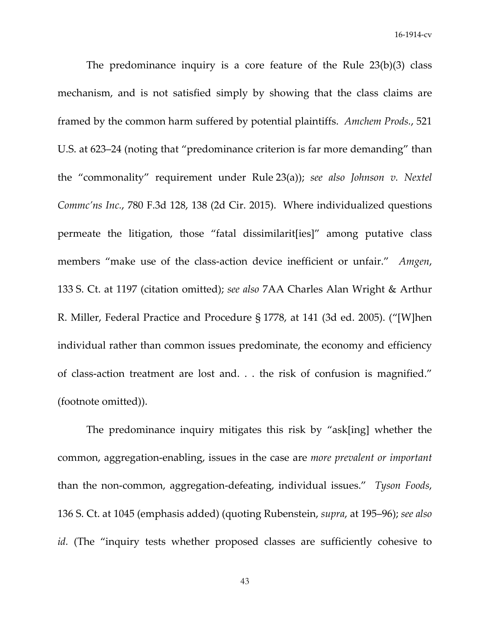The predominance inquiry is a core feature of the Rule  $23(b)(3)$  class mechanism, and is not satisfied simply by showing that the class claims are framed by the common harm suffered by potential plaintiffs. *Amchem Prods.*, 521 U.S. at 623–24 (noting that "predominance criterion is far more demanding" than the "commonality" requirement under Rule 23(a)); *see also Johnson v. Nextel Commc'ns Inc.*, 780 F.3d 128, 138 (2d Cir. 2015). Where individualized questions permeate the litigation, those "fatal dissimilarit[ies]" among putative class members "make use of the class-action device inefficient or unfair." Amgen, 133 S. Ct. at 1197 (citation omitted); *see also* 7AA Charles Alan Wright & Arthur R. Miller, Federal Practice and Procedure § 1778, at 141 (3d ed. 2005). ("[W]hen individual rather than common issues predominate, the economy and efficiency of class‐action treatment are lost and. . . the risk of confusion is magnified." (footnote omitted)).

The predominance inquiry mitigates this risk by "ask[ing] whether the common, aggregation‐enabling, issues in the case are *more prevalent or important* than the non‐common, aggregation‐defeating, individual issues." *Tyson Foods*, 136 S. Ct. at 1045 (emphasis added) (quoting Rubenstein, *supra*, at 195–96); *see also id.* (The "inquiry tests whether proposed classes are sufficiently cohesive to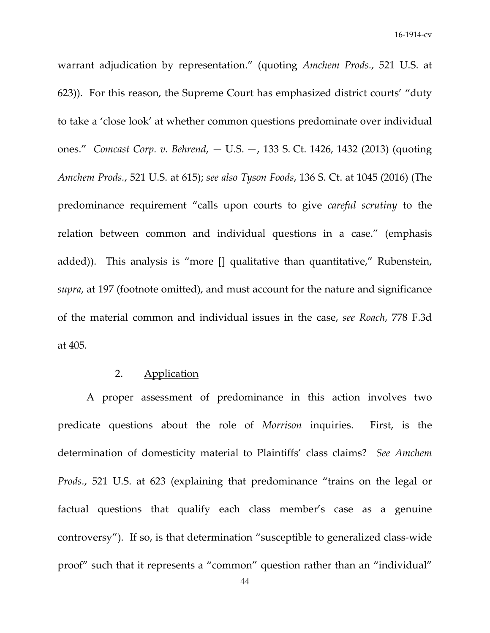warrant adjudication by representation." (quoting *Amchem Prods.*, 521 U.S. at 623)). For this reason, the Supreme Court has emphasized district courts' "duty to take a 'close look' at whether common questions predominate over individual ones." *Comcast Corp. v. Behrend*, — U.S. —, 133 S. Ct. 1426, 1432 (2013) (quoting *Amchem Prods.*, 521 U.S. at 615); *see also Tyson Foods*, 136 S. Ct. at 1045 (2016) (The predominance requirement "calls upon courts to give *careful scrutiny* to the relation between common and individual questions in a case." (emphasis added)). This analysis is "more [] qualitative than quantitative," Rubenstein, *supra*, at 197 (footnote omitted), and must account for the nature and significance of the material common and individual issues in the case, *see Roach*, 778 F.3d at 405.

# 2. Application

A proper assessment of predominance in this action involves two predicate questions about the role of *Morrison* inquiries. First, is the determination of domesticity material to Plaintiffs' class claims? *See Amchem Prods.*, 521 U.S. at 623 (explaining that predominance "trains on the legal or factual questions that qualify each class member's case as a genuine controversy"). If so, is that determination "susceptible to generalized class‐wide proof" such that it represents a "common" question rather than an "individual"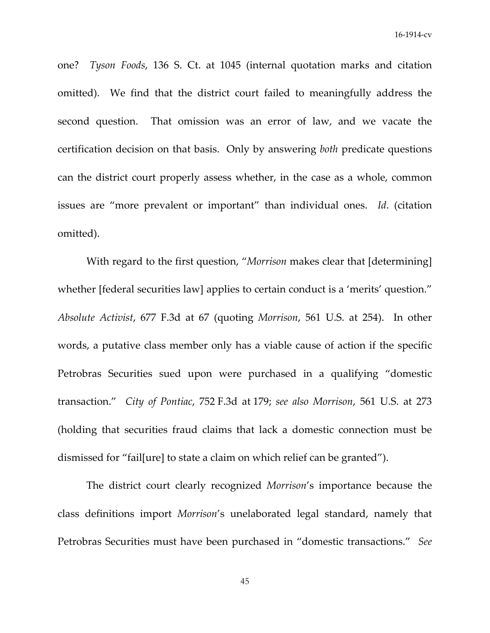one? *Tyson Foods*, 136 S. Ct. at 1045 (internal quotation marks and citation omitted). We find that the district court failed to meaningfully address the second question. That omission was an error of law, and we vacate the certification decision on that basis. Only by answering *both* predicate questions can the district court properly assess whether, in the case as a whole, common issues are "more prevalent or important" than individual ones. *Id*. (citation omitted).

With regard to the first question, "*Morrison* makes clear that [determining] whether [federal securities law] applies to certain conduct is a 'merits' question." *Absolute Activist*, 677 F.3d at 67 (quoting *Morrison*, 561 U.S. at 254). In other words, a putative class member only has a viable cause of action if the specific Petrobras Securities sued upon were purchased in a qualifying "domestic transaction." *City of Pontiac*, 752 F.3d at 179; *see also Morrison*, 561 U.S. at 273 (holding that securities fraud claims that lack a domestic connection must be dismissed for "fail[ure] to state a claim on which relief can be granted").

The district court clearly recognized *Morrison*'s importance because the class definitions import *Morrison*'s unelaborated legal standard, namely that Petrobras Securities must have been purchased in "domestic transactions." *See*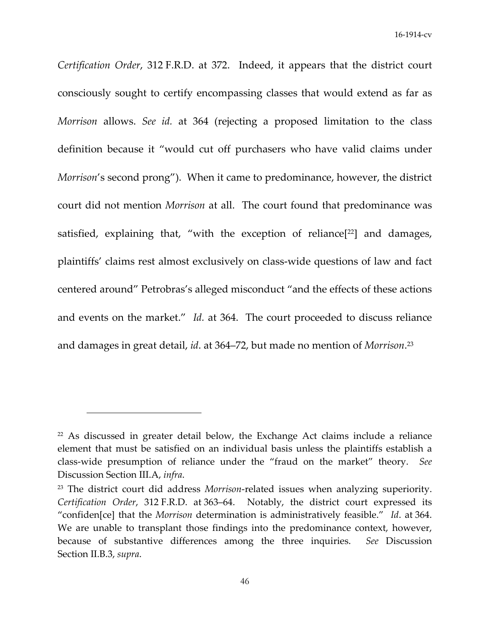*Certification Order*, 312 F.R.D. at 372. Indeed, it appears that the district court consciously sought to certify encompassing classes that would extend as far as *Morrison* allows. *See id.* at 364 (rejecting a proposed limitation to the class definition because it "would cut off purchasers who have valid claims under *Morrison*'s second prong"). When it came to predominance, however, the district court did not mention *Morrison* at all. The court found that predominance was satisfied, explaining that, "with the exception of reliance<sup>[22]</sup> and damages, plaintiffs' claims rest almost exclusively on class‐wide questions of law and fact centered around" Petrobras's alleged misconduct "and the effects of these actions and events on the market." *Id.* at 364. The court proceeded to discuss reliance and damages in great detail, *id*. at 364–72, but made no mention of *Morrison*. <sup>23</sup>

 $22$  As discussed in greater detail below, the Exchange Act claims include a reliance element that must be satisfied on an individual basis unless the plaintiffs establish a class‐wide presumption of reliance under the "fraud on the market" theory. *See* Discussion Section III.A, *infra*.

<sup>&</sup>lt;sup>23</sup> The district court did address *Morrison*-related issues when analyzing superiority. *Certification Order*, 312 F.R.D. at 363–64. Notably, the district court expressed its "confiden[ce] that the *Morrison* determination is administratively feasible." *Id*. at 364. We are unable to transplant those findings into the predominance context, however, because of substantive differences among the three inquiries. *See* Discussion Section II.B.3, *supra*.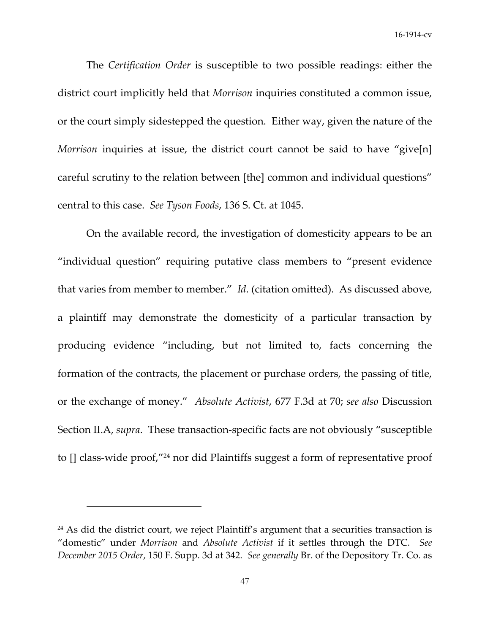The *Certification Order* is susceptible to two possible readings: either the district court implicitly held that *Morrison* inquiries constituted a common issue, or the court simply sidestepped the question. Either way, given the nature of the *Morrison* inquiries at issue, the district court cannot be said to have "give[n] careful scrutiny to the relation between [the] common and individual questions" central to this case. *See Tyson Foods*, 136 S. Ct. at 1045.

On the available record, the investigation of domesticity appears to be an "individual question" requiring putative class members to "present evidence that varies from member to member." *Id*. (citation omitted). As discussed above, a plaintiff may demonstrate the domesticity of a particular transaction by producing evidence "including, but not limited to, facts concerning the formation of the contracts, the placement or purchase orders, the passing of title, or the exchange of money." *Absolute Activist*, 677 F.3d at 70; *see also* Discussion Section II.A, *supra*. These transaction‐specific facts are not obviously "susceptible to [] class‐wide proof,"24 nor did Plaintiffs suggest a form of representative proof

<sup>&</sup>lt;sup>24</sup> As did the district court, we reject Plaintiff's argument that a securities transaction is "domestic" under *Morrison* and *Absolute Activist* if it settles through the DTC. *See December 2015 Order*, 150 F. Supp. 3d at 342. *See generally* Br. of the Depository Tr. Co. as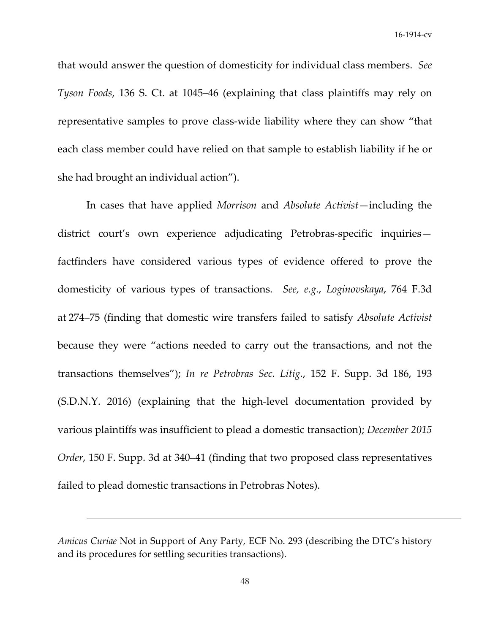that would answer the question of domesticity for individual class members. *See Tyson Foods*, 136 S. Ct. at 1045–46 (explaining that class plaintiffs may rely on representative samples to prove class‐wide liability where they can show "that each class member could have relied on that sample to establish liability if he or she had brought an individual action").

In cases that have applied *Morrison* and *Absolute Activist*—including the district court's own experience adjudicating Petrobras‐specific inquiries factfinders have considered various types of evidence offered to prove the domesticity of various types of transactions. *See, e.g.*, *Loginovskaya*, 764 F.3d at 274–75 (finding that domestic wire transfers failed to satisfy *Absolute Activist* because they were "actions needed to carry out the transactions, and not the transactions themselves"); *In re Petrobras Sec. Litig.*, 152 F. Supp. 3d 186, 193 (S.D.N.Y. 2016) (explaining that the high‐level documentation provided by various plaintiffs was insufficient to plead a domestic transaction); *December 2015 Order*, 150 F. Supp. 3d at 340–41 (finding that two proposed class representatives failed to plead domestic transactions in Petrobras Notes).

<u> 1989 - Jan Salaman Salaman (j. 1989)</u>

*Amicus Curiae* Not in Support of Any Party, ECF No. 293 (describing the DTC's history and its procedures for settling securities transactions).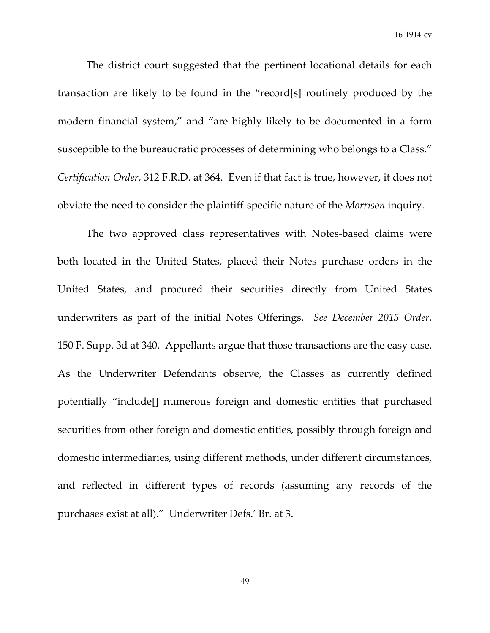The district court suggested that the pertinent locational details for each transaction are likely to be found in the "record[s] routinely produced by the modern financial system," and "are highly likely to be documented in a form susceptible to the bureaucratic processes of determining who belongs to a Class." *Certification Order*, 312 F.R.D. at 364. Even if that fact is true, however, it does not obviate the need to consider the plaintiff‐specific nature of the *Morrison* inquiry.

The two approved class representatives with Notes-based claims were both located in the United States, placed their Notes purchase orders in the United States, and procured their securities directly from United States underwriters as part of the initial Notes Offerings. *See December 2015 Order*, 150 F. Supp. 3d at 340. Appellants argue that those transactions are the easy case. As the Underwriter Defendants observe, the Classes as currently defined potentially "include[] numerous foreign and domestic entities that purchased securities from other foreign and domestic entities, possibly through foreign and domestic intermediaries, using different methods, under different circumstances, and reflected in different types of records (assuming any records of the purchases exist at all)." Underwriter Defs.' Br. at 3.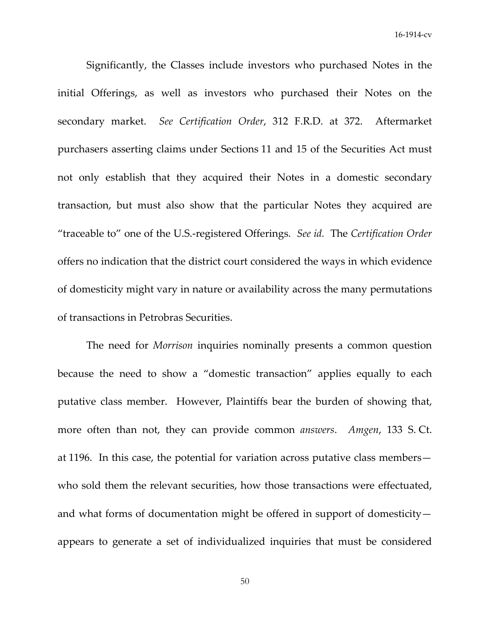Significantly, the Classes include investors who purchased Notes in the initial Offerings, as well as investors who purchased their Notes on the secondary market. *See Certification Order*, 312 F.R.D. at 372. Aftermarket purchasers asserting claims under Sections 11 and 15 of the Securities Act must not only establish that they acquired their Notes in a domestic secondary transaction, but must also show that the particular Notes they acquired are "traceable to" one of the U.S.‐registered Offerings. *See id.* The *Certification Order* offers no indication that the district court considered the ways in which evidence of domesticity might vary in nature or availability across the many permutations of transactions in Petrobras Securities.

The need for *Morrison* inquiries nominally presents a common question because the need to show a "domestic transaction" applies equally to each putative class member. However, Plaintiffs bear the burden of showing that, more often than not, they can provide common *answers*. *Amgen*, 133 S. Ct. at 1196. In this case, the potential for variation across putative class members who sold them the relevant securities, how those transactions were effectuated, and what forms of documentation might be offered in support of domesticity appears to generate a set of individualized inquiries that must be considered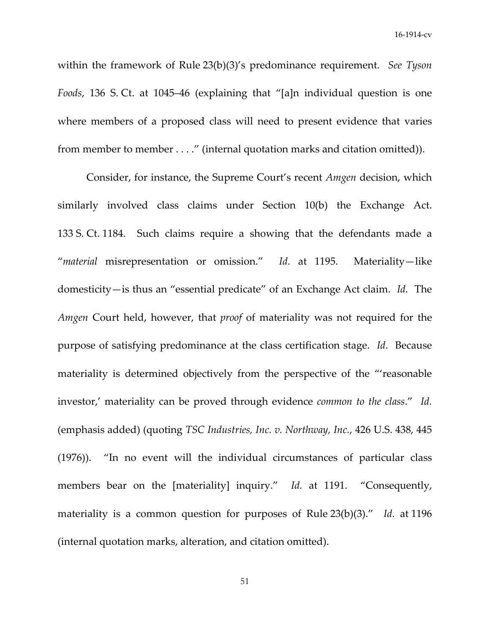within the framework of Rule 23(b)(3)'s predominance requirement. *See Tyson Foods*, 136 S. Ct. at 1045–46 (explaining that "[a]n individual question is one where members of a proposed class will need to present evidence that varies from member to member . . . ." (internal quotation marks and citation omitted)).

Consider, for instance, the Supreme Court's recent *Amgen* decision, which similarly involved class claims under Section 10(b) the Exchange Act. 133 S. Ct. 1184. Such claims require a showing that the defendants made a "*material* misrepresentation or omission." *Id.* at 1195. Materiality—like domesticity—is thus an "essential predicate" of an Exchange Act claim. *Id.* The *Amgen* Court held, however, that *proof* of materiality was not required for the purpose of satisfying predominance at the class certification stage. *Id*. Because materiality is determined objectively from the perspective of the "'reasonable investor,' materiality can be proved through evidence *common to the class*." *Id.* (emphasis added) (quoting *TSC Industries, Inc. v. Northway, Inc.*, 426 U.S. 438, 445 (1976)). "In no event will the individual circumstances of particular class members bear on the [materiality] inquiry." Id. at 1191. "Consequently, materiality is a common question for purposes of Rule 23(b)(3)." *Id.* at 1196 (internal quotation marks, alteration, and citation omitted).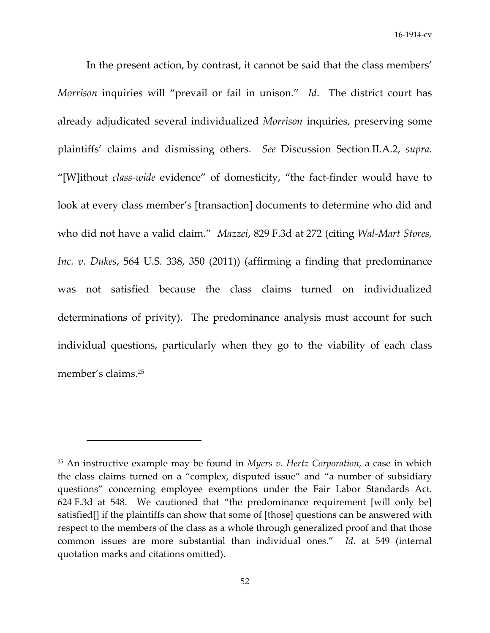In the present action, by contrast, it cannot be said that the class members' *Morrison* inquiries will "prevail or fail in unison." *Id*. The district court has already adjudicated several individualized *Morrison* inquiries, preserving some plaintiffs' claims and dismissing others. *See* Discussion Section II.A.2, *supra*. "[W]ithout *class‐wide* evidence" of domesticity, "the fact‐finder would have to look at every class member's [transaction] documents to determine who did and who did not have a valid claim." *Mazzei*, 829 F.3d at 272 (citing *Wal‐Mart Stores, Inc. v. Dukes*, 564 U.S. 338, 350 (2011)) (affirming a finding that predominance was not satisfied because the class claims turned on individualized determinations of privity). The predominance analysis must account for such individual questions, particularly when they go to the viability of each class member's claims.25

<sup>25</sup> An instructive example may be found in *Myers v. Hertz Corporation*, a case in which the class claims turned on a "complex, disputed issue" and "a number of subsidiary questions" concerning employee exemptions under the Fair Labor Standards Act. 624 F.3d at 548. We cautioned that "the predominance requirement [will only be] satisfied[] if the plaintiffs can show that some of [those] questions can be answered with respect to the members of the class as a whole through generalized proof and that those common issues are more substantial than individual ones." *Id*. at 549 (internal quotation marks and citations omitted).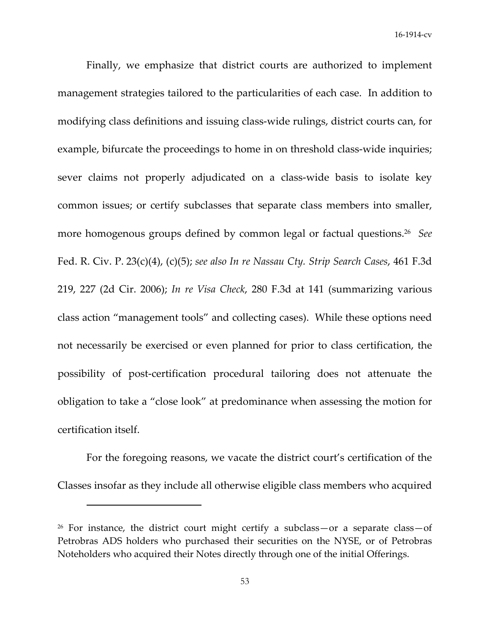Finally, we emphasize that district courts are authorized to implement management strategies tailored to the particularities of each case. In addition to modifying class definitions and issuing class‐wide rulings, district courts can, for example, bifurcate the proceedings to home in on threshold class-wide inquiries; sever claims not properly adjudicated on a class‐wide basis to isolate key common issues; or certify subclasses that separate class members into smaller, more homogenous groups defined by common legal or factual questions.26 *See* Fed. R. Civ. P. 23(c)(4), (c)(5); *see also In re Nassau Cty. Strip Search Cases*, 461 F.3d 219, 227 (2d Cir. 2006); *In re Visa Check*, 280 F.3d at 141 (summarizing various class action "management tools" and collecting cases). While these options need not necessarily be exercised or even planned for prior to class certification, the possibility of post‐certification procedural tailoring does not attenuate the obligation to take a "close look" at predominance when assessing the motion for certification itself.

For the foregoing reasons, we vacate the district court's certification of the Classes insofar as they include all otherwise eligible class members who acquired

<sup>26</sup> For instance, the district court might certify a subclass—or a separate class—of Petrobras ADS holders who purchased their securities on the NYSE, or of Petrobras Noteholders who acquired their Notes directly through one of the initial Offerings.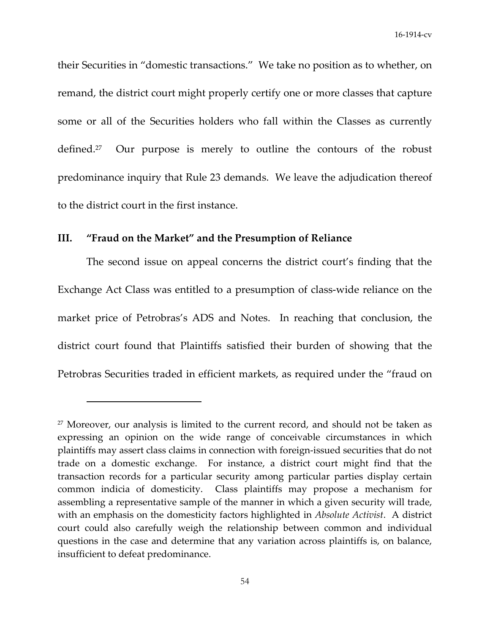their Securities in "domestic transactions." We take no position as to whether, on remand, the district court might properly certify one or more classes that capture some or all of the Securities holders who fall within the Classes as currently defined.<sup>27</sup> Our purpose is merely to outline the contours of the robust predominance inquiry that Rule 23 demands. We leave the adjudication thereof to the district court in the first instance.

### **III. "Fraud on the Market" and the Presumption of Reliance**

The second issue on appeal concerns the district court's finding that the Exchange Act Class was entitled to a presumption of class‐wide reliance on the market price of Petrobras's ADS and Notes. In reaching that conclusion, the district court found that Plaintiffs satisfied their burden of showing that the Petrobras Securities traded in efficient markets, as required under the "fraud on

 $27$  Moreover, our analysis is limited to the current record, and should not be taken as expressing an opinion on the wide range of conceivable circumstances in which plaintiffs may assert class claims in connection with foreign‐issued securities that do not trade on a domestic exchange. For instance, a district court might find that the transaction records for a particular security among particular parties display certain common indicia of domesticity. Class plaintiffs may propose a mechanism for assembling a representative sample of the manner in which a given security will trade, with an emphasis on the domesticity factors highlighted in *Absolute Activist*. A district court could also carefully weigh the relationship between common and individual questions in the case and determine that any variation across plaintiffs is, on balance, insufficient to defeat predominance.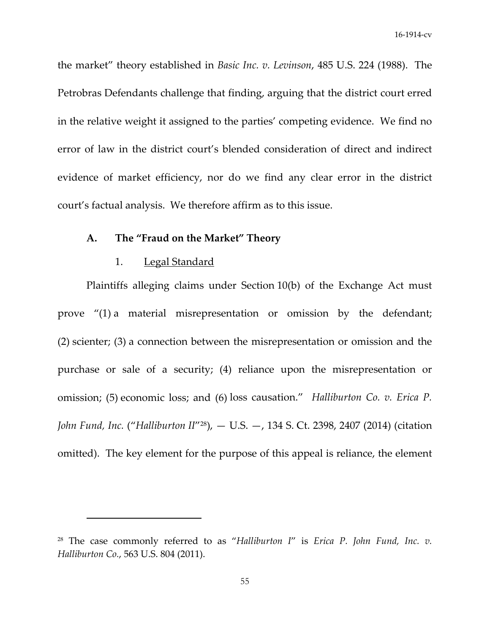the market" theory established in *Basic Inc. v. Levinson*, 485 U.S. 224 (1988). The Petrobras Defendants challenge that finding, arguing that the district court erred in the relative weight it assigned to the parties' competing evidence. We find no error of law in the district court's blended consideration of direct and indirect evidence of market efficiency, nor do we find any clear error in the district court's factual analysis. We therefore affirm as to this issue.

# **A. The "Fraud on the Market" Theory**

### 1. Legal Standard

Plaintiffs alleging claims under Section 10(b) of the Exchange Act must prove "(1) a material misrepresentation or omission by the defendant; (2) scienter; (3) a connection between the misrepresentation or omission and the purchase or sale of a security; (4) reliance upon the misrepresentation or omission; (5) economic loss; and (6) loss causation." *Halliburton Co. v. Erica P. John Fund, Inc.* ("*Halliburton II*"28), — U.S. —, 134 S. Ct. 2398, 2407 (2014) (citation omitted). The key element for the purpose of this appeal is reliance, the element

<sup>28</sup> The case commonly referred to as "*Halliburton I*" is *Erica P. John Fund, Inc. v. Halliburton Co.*, 563 U.S. 804 (2011).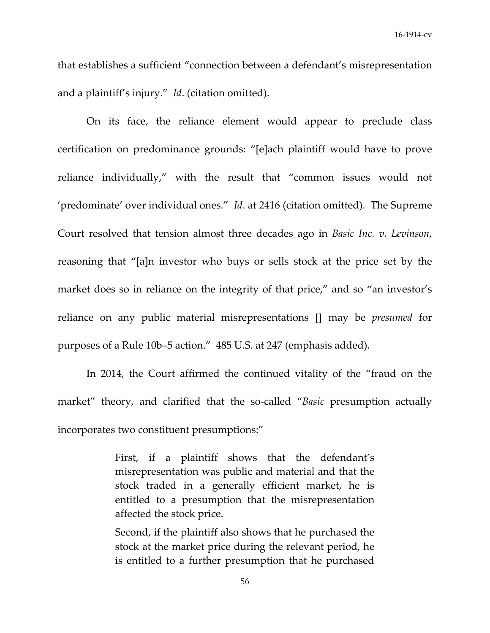that establishes a sufficient "connection between a defendant's misrepresentation and a plaintiff's injury." *Id*. (citation omitted).

On its face, the reliance element would appear to preclude class certification on predominance grounds: "[e]ach plaintiff would have to prove reliance individually," with the result that "common issues would not 'predominate' over individual ones." *Id*. at 2416 (citation omitted). The Supreme Court resolved that tension almost three decades ago in *Basic Inc. v. Levinson*, reasoning that "[a]n investor who buys or sells stock at the price set by the market does so in reliance on the integrity of that price," and so "an investor's reliance on any public material misrepresentations [] may be *presumed* for purposes of a Rule 10b–5 action." 485 U.S. at 247 (emphasis added).

In 2014, the Court affirmed the continued vitality of the "fraud on the market" theory, and clarified that the so‐called "*Basic* presumption actually incorporates two constituent presumptions:"

> First, if a plaintiff shows that the defendant's misrepresentation was public and material and that the stock traded in a generally efficient market, he is entitled to a presumption that the misrepresentation affected the stock price.

> Second, if the plaintiff also shows that he purchased the stock at the market price during the relevant period, he is entitled to a further presumption that he purchased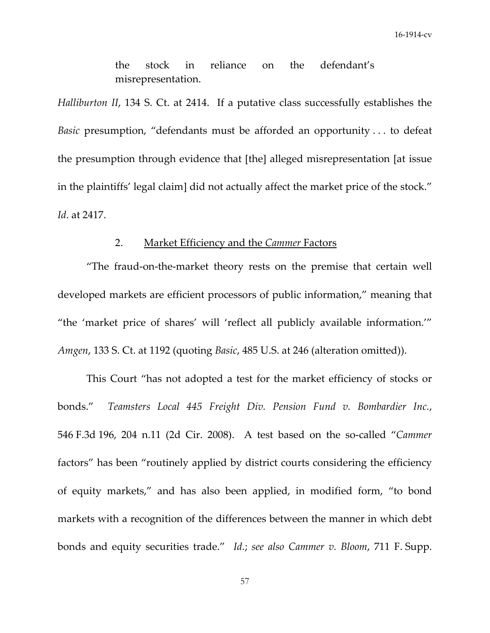the stock in reliance on the defendant's misrepresentation.

*Halliburton II*, 134 S. Ct. at 2414. If a putative class successfully establishes the *Basic* presumption, "defendants must be afforded an opportunity . . . to defeat the presumption through evidence that [the] alleged misrepresentation [at issue in the plaintiffs' legal claim] did not actually affect the market price of the stock." *Id*. at 2417.

# 2. Market Efficiency and the *Cammer* Factors

"The fraud‐on‐the‐market theory rests on the premise that certain well developed markets are efficient processors of public information," meaning that "the 'market price of shares' will 'reflect all publicly available information.'" *Amgen*, 133 S. Ct. at 1192 (quoting *Basic*, 485 U.S. at 246 (alteration omitted)).

This Court "has not adopted a test for the market efficiency of stocks or bonds." *Teamsters Local 445 Freight Div. Pension Fund v. Bombardier Inc.*, 546 F.3d 196, 204 n.11 (2d Cir. 2008). A test based on the so‐called "*Cammer* factors" has been "routinely applied by district courts considering the efficiency of equity markets," and has also been applied, in modified form, "to bond markets with a recognition of the differences between the manner in which debt bonds and equity securities trade." *Id.*; *see also Cammer v. Bloom*, 711 F. Supp.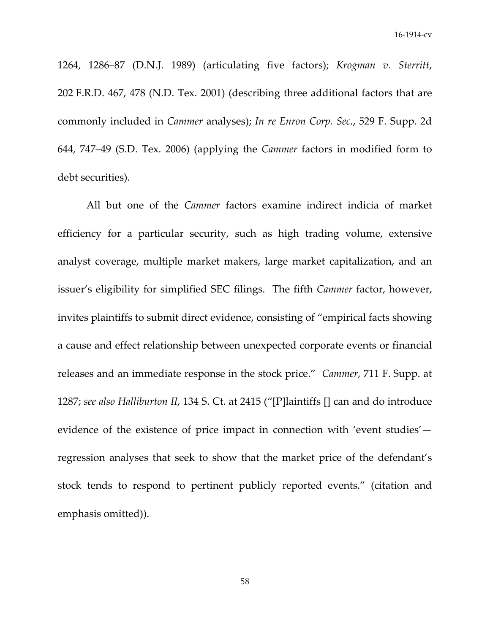1264, 1286–87 (D.N.J. 1989) (articulating five factors); *Krogman v. Sterritt*, 202 F.R.D. 467, 478 (N.D. Tex. 2001) (describing three additional factors that are commonly included in *Cammer* analyses); *In re Enron Corp. Sec.*, 529 F. Supp. 2d 644, 747–49 (S.D. Tex. 2006) (applying the *Cammer* factors in modified form to debt securities).

All but one of the *Cammer* factors examine indirect indicia of market efficiency for a particular security, such as high trading volume, extensive analyst coverage, multiple market makers, large market capitalization, and an issuer's eligibility for simplified SEC filings. The fifth *Cammer* factor, however, invites plaintiffs to submit direct evidence, consisting of "empirical facts showing a cause and effect relationship between unexpected corporate events or financial releases and an immediate response in the stock price." *Cammer*, 711 F. Supp. at 1287; *see also Halliburton II*, 134 S. Ct. at 2415 ("[P]laintiffs [] can and do introduce evidence of the existence of price impact in connection with 'event studies' regression analyses that seek to show that the market price of the defendant's stock tends to respond to pertinent publicly reported events." (citation and emphasis omitted)).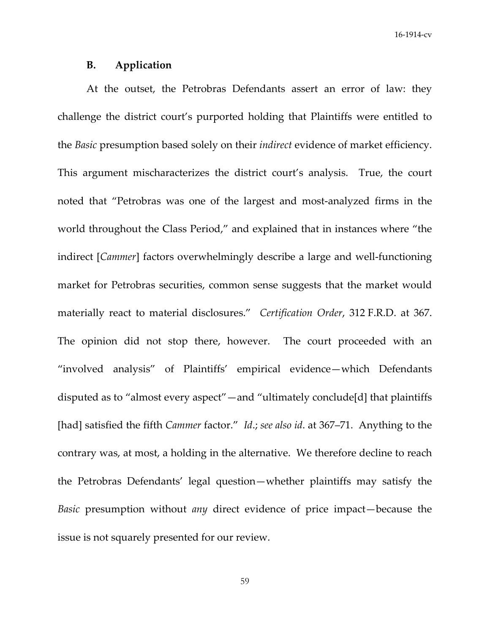### **B. Application**

At the outset, the Petrobras Defendants assert an error of law: they challenge the district court's purported holding that Plaintiffs were entitled to the *Basic* presumption based solely on their *indirect* evidence of market efficiency. This argument mischaracterizes the district court's analysis. True, the court noted that "Petrobras was one of the largest and most-analyzed firms in the world throughout the Class Period," and explained that in instances where "the indirect [*Cammer*] factors overwhelmingly describe a large and well-functioning market for Petrobras securities, common sense suggests that the market would materially react to material disclosures." *Certification Order*, 312 F.R.D. at 367. The opinion did not stop there, however. The court proceeded with an "involved analysis" of Plaintiffs' empirical evidence—which Defendants disputed as to "almost every aspect"—and "ultimately conclude[d] that plaintiffs [had] satisfied the fifth *Cammer* factor." *Id*.; *see also id*. at 367–71. Anything to the contrary was, at most, a holding in the alternative. We therefore decline to reach the Petrobras Defendants' legal question—whether plaintiffs may satisfy the *Basic* presumption without *any* direct evidence of price impact—because the issue is not squarely presented for our review.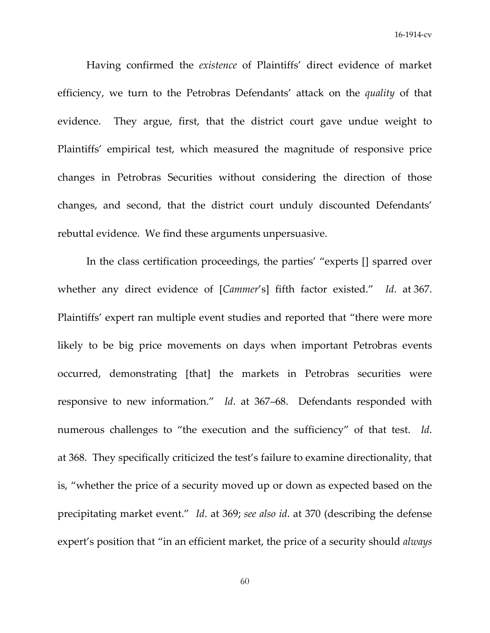Having confirmed the *existence* of Plaintiffs' direct evidence of market efficiency, we turn to the Petrobras Defendants' attack on the *quality* of that evidence. They argue, first, that the district court gave undue weight to Plaintiffs' empirical test, which measured the magnitude of responsive price changes in Petrobras Securities without considering the direction of those changes, and second, that the district court unduly discounted Defendants' rebuttal evidence. We find these arguments unpersuasive.

In the class certification proceedings, the parties' "experts [] sparred over whether any direct evidence of [*Cammer*'s] fifth factor existed." *Id*. at 367. Plaintiffs' expert ran multiple event studies and reported that "there were more likely to be big price movements on days when important Petrobras events occurred, demonstrating [that] the markets in Petrobras securities were responsive to new information." *Id*. at 367–68. Defendants responded with numerous challenges to "the execution and the sufficiency" of that test. *Id*. at 368. They specifically criticized the test's failure to examine directionality, that is, "whether the price of a security moved up or down as expected based on the precipitating market event." *Id*. at 369; *see also id*. at 370 (describing the defense expert's position that "in an efficient market, the price of a security should *always*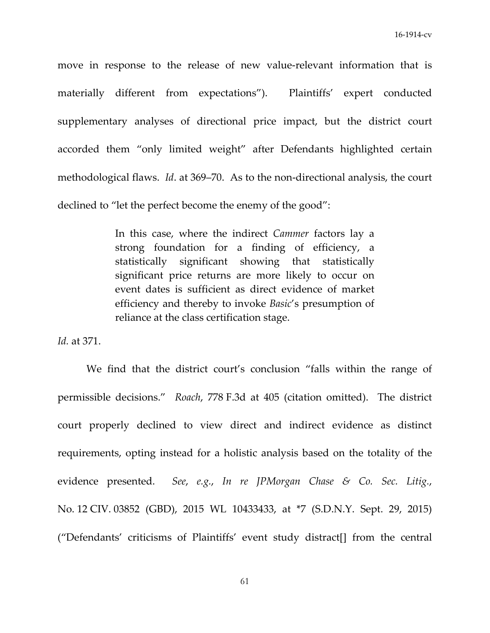move in response to the release of new value-relevant information that is materially different from expectations"). Plaintiffs' expert conducted supplementary analyses of directional price impact, but the district court accorded them "only limited weight" after Defendants highlighted certain methodological flaws. *Id.* at 369–70. As to the non-directional analysis, the court declined to "let the perfect become the enemy of the good":

> In this case, where the indirect *Cammer* factors lay a strong foundation for a finding of efficiency, a statistically significant showing that statistically significant price returns are more likely to occur on event dates is sufficient as direct evidence of market efficiency and thereby to invoke *Basic*'s presumption of reliance at the class certification stage.

*Id.* at 371.

We find that the district court's conclusion "falls within the range of permissible decisions." *Roach*, 778 F.3d at 405 (citation omitted). The district court properly declined to view direct and indirect evidence as distinct requirements, opting instead for a holistic analysis based on the totality of the evidence presented. *See*, *e.g.*, *In re JPMorgan Chase & Co. Sec. Litig.*, No. 12 CIV. 03852 (GBD), 2015 WL 10433433, at \*7 (S.D.N.Y. Sept. 29, 2015) ("Defendants' criticisms of Plaintiffs' event study distract[] from the central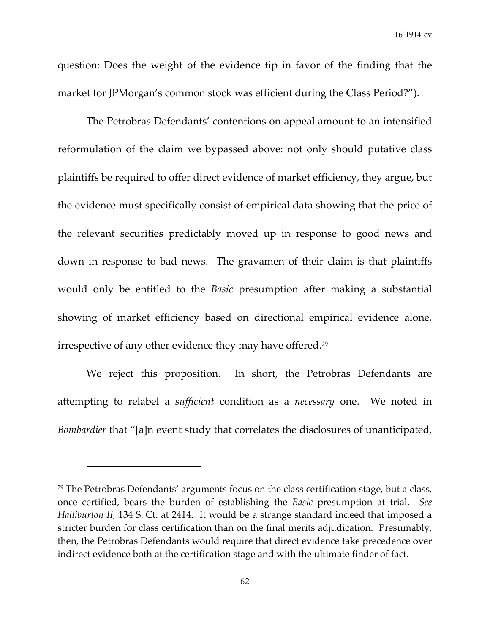question: Does the weight of the evidence tip in favor of the finding that the market for JPMorgan's common stock was efficient during the Class Period?").

The Petrobras Defendants' contentions on appeal amount to an intensified reformulation of the claim we bypassed above: not only should putative class plaintiffs be required to offer direct evidence of market efficiency, they argue, but the evidence must specifically consist of empirical data showing that the price of the relevant securities predictably moved up in response to good news and down in response to bad news. The gravamen of their claim is that plaintiffs would only be entitled to the *Basic* presumption after making a substantial showing of market efficiency based on directional empirical evidence alone, irrespective of any other evidence they may have offered.29

We reject this proposition. In short, the Petrobras Defendants are attempting to relabel a *sufficient* condition as a *necessary* one. We noted in *Bombardier* that "[a]n event study that correlates the disclosures of unanticipated,

 $29$  The Petrobras Defendants' arguments focus on the class certification stage, but a class, once certified, bears the burden of establishing the *Basic* presumption at trial. *See Halliburton II*, 134 S. Ct. at 2414. It would be a strange standard indeed that imposed a stricter burden for class certification than on the final merits adjudication. Presumably, then, the Petrobras Defendants would require that direct evidence take precedence over indirect evidence both at the certification stage and with the ultimate finder of fact.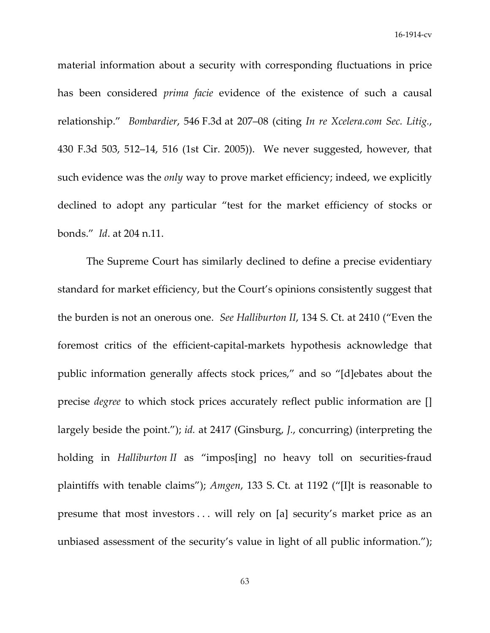material information about a security with corresponding fluctuations in price has been considered *prima facie* evidence of the existence of such a causal relationship." *Bombardier*, 546 F.3d at 207–08 (citing *In re Xcelera.com Sec. Litig.*, 430 F.3d 503, 512–14, 516 (1st Cir. 2005)). We never suggested, however, that such evidence was the *only* way to prove market efficiency; indeed, we explicitly declined to adopt any particular "test for the market efficiency of stocks or bonds." *Id*. at 204 n.11.

The Supreme Court has similarly declined to define a precise evidentiary standard for market efficiency, but the Court's opinions consistently suggest that the burden is not an onerous one. *See Halliburton II*, 134 S. Ct. at 2410 ("Even the foremost critics of the efficient‐capital‐markets hypothesis acknowledge that public information generally affects stock prices," and so "[d]ebates about the precise *degree* to which stock prices accurately reflect public information are [] largely beside the point."); *id.* at 2417 (Ginsburg, *J.*, concurring) (interpreting the holding in *Halliburton II* as "impos[ing] no heavy toll on securities‐fraud plaintiffs with tenable claims"); *Amgen*, 133 S. Ct. at 1192 ("[I]t is reasonable to presume that most investors . . . will rely on [a] security's market price as an unbiased assessment of the security's value in light of all public information.");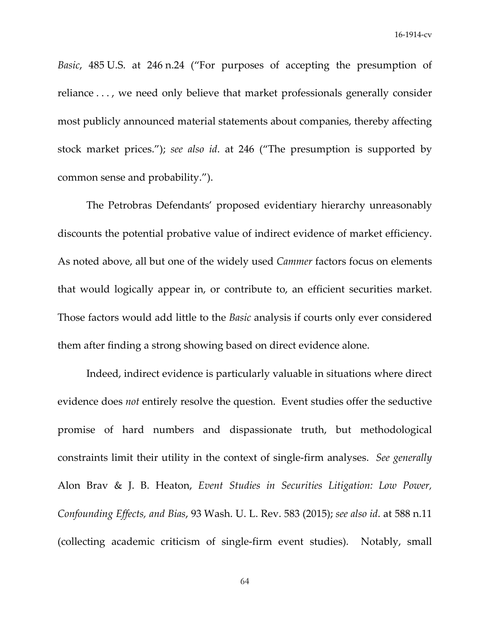*Basic*, 485 U.S. at 246 n.24 ("For purposes of accepting the presumption of reliance . . . , we need only believe that market professionals generally consider most publicly announced material statements about companies, thereby affecting stock market prices."); *see also id*. at 246 ("The presumption is supported by common sense and probability.").

The Petrobras Defendants' proposed evidentiary hierarchy unreasonably discounts the potential probative value of indirect evidence of market efficiency. As noted above, all but one of the widely used *Cammer* factors focus on elements that would logically appear in, or contribute to, an efficient securities market. Those factors would add little to the *Basic* analysis if courts only ever considered them after finding a strong showing based on direct evidence alone.

Indeed, indirect evidence is particularly valuable in situations where direct evidence does *not* entirely resolve the question. Event studies offer the seductive promise of hard numbers and dispassionate truth, but methodological constraints limit their utility in the context of single‐firm analyses. *See generally* Alon Brav & J. B. Heaton, *Event Studies in Securities Litigation: Low Power, Confounding Effects, and Bias*, 93 Wash. U. L. Rev. 583 (2015); *see also id*. at 588 n.11 (collecting academic criticism of single‐firm event studies). Notably, small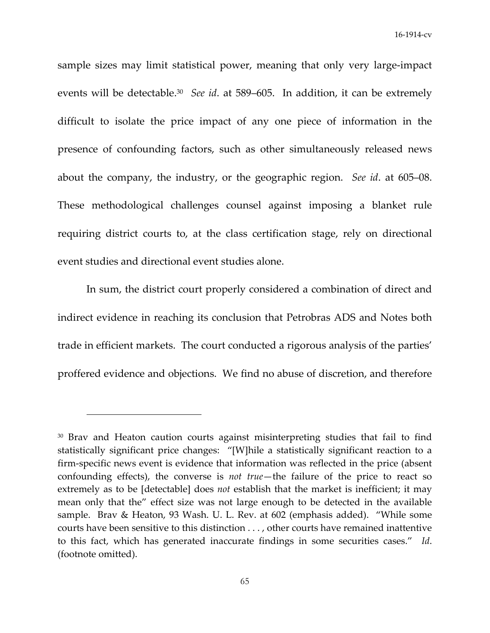sample sizes may limit statistical power, meaning that only very large-impact events will be detectable.30 *See id*. at 589–605. In addition, it can be extremely difficult to isolate the price impact of any one piece of information in the presence of confounding factors, such as other simultaneously released news about the company, the industry, or the geographic region. *See id*. at 605–08. These methodological challenges counsel against imposing a blanket rule requiring district courts to, at the class certification stage, rely on directional event studies and directional event studies alone.

In sum, the district court properly considered a combination of direct and indirect evidence in reaching its conclusion that Petrobras ADS and Notes both trade in efficient markets. The court conducted a rigorous analysis of the parties' proffered evidence and objections. We find no abuse of discretion, and therefore

<sup>&</sup>lt;sup>30</sup> Brav and Heaton caution courts against misinterpreting studies that fail to find statistically significant price changes: "[W]hile a statistically significant reaction to a firm-specific news event is evidence that information was reflected in the price (absent confounding effects), the converse is *not true*—the failure of the price to react so extremely as to be [detectable] does *not* establish that the market is inefficient; it may mean only that the" effect size was not large enough to be detected in the available sample. Brav & Heaton, 93 Wash. U. L. Rev. at 602 (emphasis added). "While some courts have been sensitive to this distinction . . . , other courts have remained inattentive to this fact, which has generated inaccurate findings in some securities cases." *Id*. (footnote omitted).